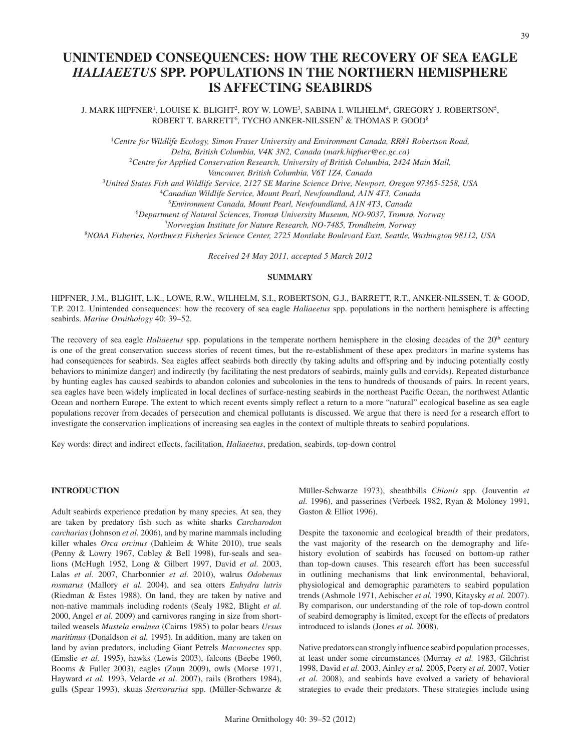# **UNINTENDED CONSEQUENCES: HOW THE RECOVERY OF SEA EAGLE**  *HALIAEETUS* **SPP. POPULATIONS IN THE NORTHERN HEMISPHERE IS AFFECTING SEABIRDS**

J. MARK HIPFNER<sup>1</sup>, LOUISE K. BLIGHT<sup>2</sup>, ROY W. LOWE<sup>3</sup>, SABINA I. WILHELM<sup>4</sup>, GREGORY J. ROBERTSON<sup>5</sup>, ROBERT T. BARRETT<sup>6</sup>, TYCHO ANKER-NILSSEN<sup>7</sup> & THOMAS P. GOOD<sup>8</sup>

<sup>1</sup>Centre for Wildlife Ecology, Simon Fraser University and Environment Canada, RR#1 Robertson Road, *Delta, British Columbia, V4K 3N2, Canada (mark.hipfner@ec.gc.ca)* <sup>2</sup>*Centre for Applied Conservation Research, University of British Columbia, 2424 Main Mall, Vancouver, British Columbia, V6T 1Z4, Canada*

<sup>3</sup>*United States Fish and Wildlife Service, 2127 SE Marine Science Drive, Newport, Oregon 97365-5258, USA*

<sup>4</sup>*Canadian Wildlife Service, Mount Pearl, Newfoundland, A1N 4T3, Canada*

5 *Environment Canada, Mount Pearl, Newfoundland, A1N 4T3, Canada*

6 *Department of Natural Sciences, Tromsø University Museum, NO-9037, Tromsø, Norway*

<sup>7</sup>*Norwegian Institute for Nature Research, NO-7485, Trondheim, Norway*

8 *NOAA Fisheries, Northwest Fisheries Science Center, 2725 Montlake Boulevard East, Seattle, Washington 98112, USA*

*Received 24 May 2011, accepted 5 March 2012*

# **SUMMARY**

HIPFNER, J.M., BLIGHT, L.K., LOWE, R.W., WILHELM, S.I., ROBERTSON, G.J., BARRETT, R.T., ANKER-NILSSEN, T. & GOOD, T.P. 2012. Unintended consequences: how the recovery of sea eagle *Haliaeetus* spp. populations in the northern hemisphere is affecting seabirds. *Marine Ornithology* 40: 39–52.

The recovery of sea eagle *Haliaeetus* spp. populations in the temperate northern hemisphere in the closing decades of the 20th century is one of the great conservation success stories of recent times, but the re-establishment of these apex predators in marine systems has had consequences for seabirds. Sea eagles affect seabirds both directly (by taking adults and offspring and by inducing potentially costly behaviors to minimize danger) and indirectly (by facilitating the nest predators of seabirds, mainly gulls and corvids). Repeated disturbance by hunting eagles has caused seabirds to abandon colonies and subcolonies in the tens to hundreds of thousands of pairs. In recent years, sea eagles have been widely implicated in local declines of surface-nesting seabirds in the northeast Pacific Ocean, the northwest Atlantic Ocean and northern Europe. The extent to which recent events simply reflect a return to a more "natural" ecological baseline as sea eagle populations recover from decades of persecution and chemical pollutants is discussed. We argue that there is need for a research effort to investigate the conservation implications of increasing sea eagles in the context of multiple threats to seabird populations.

Key words: direct and indirect effects, facilitation, *Haliaeetus*, predation, seabirds, top-down control

# **INTRODUCTION**

Adult seabirds experience predation by many species. At sea, they are taken by predatory fish such as white sharks *Carcharodon carcharias* (Johnson *et al.* 2006), and by marine mammals including killer whales *Orca orcinus* (Dahleim & White 2010), true seals (Penny & Lowry 1967, Cobley & Bell 1998), fur-seals and sealions (McHugh 1952, Long & Gilbert 1997, David *et al.* 2003, Lalas *et al.* 2007, Charbonnier *et al.* 2010), walrus *Odobenus rosmarus* (Mallory *et al.* 2004), and sea otters *Enhydra lutris* (Riedman & Estes 1988). On land, they are taken by native and non-native mammals including rodents (Sealy 1982, Blight *et al.* 2000, Angel *et al.* 2009) and carnivores ranging in size from shorttailed weasels *Mustela erminea* (Cairns 1985) to polar bears *Ursus maritimus* (Donaldson *et al.* 1995). In addition, many are taken on land by avian predators, including Giant Petrels *Macronectes* spp. (Emslie *et al.* 1995), hawks (Lewis 2003), falcons (Beebe 1960, Booms & Fuller 2003), eagles (Zaun 2009), owls (Morse 1971, Hayward *et al.* 1993, Velarde *et al*. 2007), rails (Brothers 1984), gulls (Spear 1993), skuas *Stercorarius* spp. (Müller-Schwarze & Müller-Schwarze 1973), sheathbills *Chionis* spp. (Jouventin *et al.* 1996), and passerines (Verbeek 1982, Ryan & Moloney 1991, Gaston & Elliot 1996).

Despite the taxonomic and ecological breadth of their predators, the vast majority of the research on the demography and lifehistory evolution of seabirds has focused on bottom-up rather than top-down causes. This research effort has been successful in outlining mechanisms that link environmental, behavioral, physiological and demographic parameters to seabird population trends (Ashmole 1971, Aebischer *et al.* 1990, Kitaysky *et al.* 2007). By comparison, our understanding of the role of top-down control of seabird demography is limited, except for the effects of predators introduced to islands (Jones *et al.* 2008).

Native predators can strongly influence seabird population processes, at least under some circumstances (Murray *et al.* 1983, Gilchrist 1998, David *et al.* 2003, Ainley *et al.* 2005, Peery *et al.* 2007, Votier *et al.* 2008), and seabirds have evolved a variety of behavioral strategies to evade their predators. These strategies include using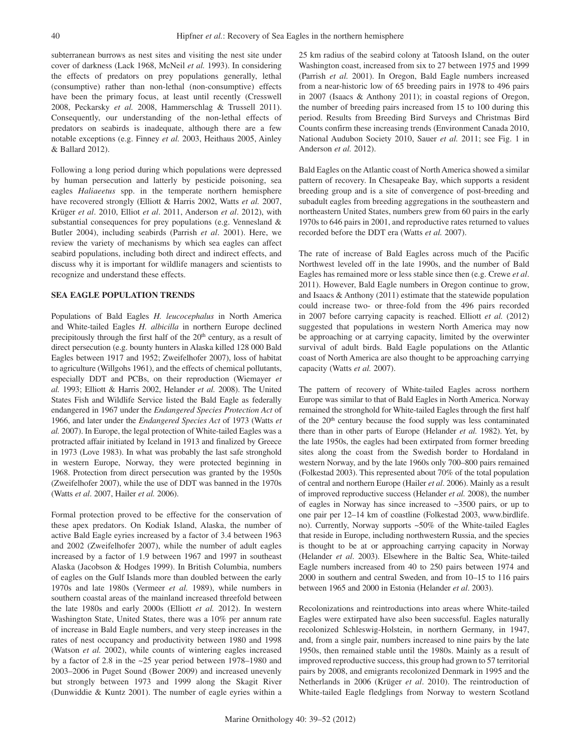subterranean burrows as nest sites and visiting the nest site under cover of darkness (Lack 1968, McNeil *et al.* 1993). In considering the effects of predators on prey populations generally, lethal (consumptive) rather than non-lethal (non-consumptive) effects have been the primary focus, at least until recently (Cresswell 2008, Peckarsky *et al.* 2008, Hammerschlag & Trussell 2011). Consequently, our understanding of the non-lethal effects of predators on seabirds is inadequate, although there are a few notable exceptions (e.g. Finney *et al.* 2003, Heithaus 2005, Ainley & Ballard 2012).

Following a long period during which populations were depressed by human persecution and latterly by pesticide poisoning, sea eagles *Haliaeetus* spp. in the temperate northern hemisphere have recovered strongly (Elliott & Harris 2002, Watts *et al.* 2007, Krüger *et al*. 2010, Elliot *et al*. 2011, Anderson *et al*. 2012), with substantial consequences for prey populations (e.g. Vennesland & Butler 2004), including seabirds (Parrish *et al*. 2001). Here, we review the variety of mechanisms by which sea eagles can affect seabird populations, including both direct and indirect effects, and discuss why it is important for wildlife managers and scientists to recognize and understand these effects.

## **SEA EAGLE POPULATION TRENDS**

Populations of Bald Eagles *H. leucocephalus* in North America and White-tailed Eagles *H. albicilla* in northern Europe declined precipitously through the first half of the  $20<sup>th</sup>$  century, as a result of direct persecution (e.g. bounty hunters in Alaska killed 128 000 Bald Eagles between 1917 and 1952; Zweifelhofer 2007), loss of habitat to agriculture (Willgohs 1961), and the effects of chemical pollutants, especially DDT and PCBs, on their reproduction (Wiemayer *et al.* 1993; Elliott & Harris 2002, Helander *et al.* 2008). The United States Fish and Wildlife Service listed the Bald Eagle as federally endangered in 1967 under the *Endangered Species Protection Act* of 1966, and later under the *Endangered Species Act* of 1973 (Watts *et al.* 2007). In Europe, the legal protection of White-tailed Eagles was a protracted affair initiated by Iceland in 1913 and finalized by Greece in 1973 (Love 1983). In what was probably the last safe stronghold in western Europe, Norway, they were protected beginning in 1968. Protection from direct persecution was granted by the 1950s (Zweifelhofer 2007), while the use of DDT was banned in the 1970s (Watts *et al*. 2007, Hailer *et al.* 2006).

Formal protection proved to be effective for the conservation of these apex predators. On Kodiak Island, Alaska, the number of active Bald Eagle eyries increased by a factor of 3.4 between 1963 and 2002 (Zweifelhofer 2007), while the number of adult eagles increased by a factor of 1.9 between 1967 and 1997 in southeast Alaska (Jacobson & Hodges 1999). In British Columbia, numbers of eagles on the Gulf Islands more than doubled between the early 1970s and late 1980s (Vermeer *et al.* 1989), while numbers in southern coastal areas of the mainland increased threefold between the late 1980s and early 2000s (Elliott *et al.* 2012). In western Washington State, United States, there was a 10% per annum rate of increase in Bald Eagle numbers, and very steep increases in the rates of nest occupancy and productivity between 1980 and 1998 (Watson *et al.* 2002), while counts of wintering eagles increased by a factor of 2.8 in the ~25 year period between 1978–1980 and 2003–2006 in Puget Sound (Bower 2009) and increased unevenly but strongly between 1973 and 1999 along the Skagit River (Dunwiddie & Kuntz 2001). The number of eagle eyries within a

25 km radius of the seabird colony at Tatoosh Island, on the outer Washington coast, increased from six to 27 between 1975 and 1999 (Parrish *et al.* 2001). In Oregon, Bald Eagle numbers increased from a near-historic low of 65 breeding pairs in 1978 to 496 pairs in 2007 (Isaacs & Anthony 2011); in coastal regions of Oregon, the number of breeding pairs increased from 15 to 100 during this period. Results from Breeding Bird Surveys and Christmas Bird Counts confirm these increasing trends (Environment Canada 2010, National Audubon Society 2010, Sauer *et al.* 2011; see Fig. 1 in Anderson *et al.* 2012).

Bald Eagles on the Atlantic coast of North America showed a similar pattern of recovery. In Chesapeake Bay, which supports a resident breeding group and is a site of convergence of post-breeding and subadult eagles from breeding aggregations in the southeastern and northeastern United States, numbers grew from 60 pairs in the early 1970s to 646 pairs in 2001, and reproductive rates returned to values recorded before the DDT era (Watts *et al.* 2007).

The rate of increase of Bald Eagles across much of the Pacific Northwest leveled off in the late 1990s, and the number of Bald Eagles has remained more or less stable since then (e.g. Crewe *et al*. 2011). However, Bald Eagle numbers in Oregon continue to grow, and Isaacs & Anthony (2011) estimate that the statewide population could increase two- or three-fold from the 496 pairs recorded in 2007 before carrying capacity is reached. Elliott *et al.* (2012) suggested that populations in western North America may now be approaching or at carrying capacity, limited by the overwinter survival of adult birds. Bald Eagle populations on the Atlantic coast of North America are also thought to be approaching carrying capacity (Watts *et al.* 2007).

The pattern of recovery of White-tailed Eagles across northern Europe was similar to that of Bald Eagles in North America. Norway remained the stronghold for White-tailed Eagles through the first half of the 20th century because the food supply was less contaminated there than in other parts of Europe (Helander *et al.* 1982). Yet, by the late 1950s, the eagles had been extirpated from former breeding sites along the coast from the Swedish border to Hordaland in western Norway, and by the late 1960s only 700–800 pairs remained (Folkestad 2003). This represented about 70% of the total population of central and northern Europe (Hailer *et al*. 2006). Mainly as a result of improved reproductive success (Helander *et al.* 2008), the number of eagles in Norway has since increased to ~3500 pairs, or up to one pair per 12–14 km of coastline (Folkestad 2003, www.birdlife. no). Currently, Norway supports ~50% of the White-tailed Eagles that reside in Europe, including northwestern Russia, and the species is thought to be at or approaching carrying capacity in Norway (Helander *et al*. 2003). Elsewhere in the Baltic Sea, White-tailed Eagle numbers increased from 40 to 250 pairs between 1974 and 2000 in southern and central Sweden, and from 10–15 to 116 pairs between 1965 and 2000 in Estonia (Helander *et al*. 2003).

Recolonizations and reintroductions into areas where White-tailed Eagles were extirpated have also been successful. Eagles naturally recolonized Schleswig-Holstein, in northern Germany, in 1947, and, from a single pair, numbers increased to nine pairs by the late 1950s, then remained stable until the 1980s. Mainly as a result of improved reproductive success, this group had grown to 57 territorial pairs by 2008, and emigrants recolonized Denmark in 1995 and the Netherlands in 2006 (Krüger *et al*. 2010). The reintroduction of White-tailed Eagle fledglings from Norway to western Scotland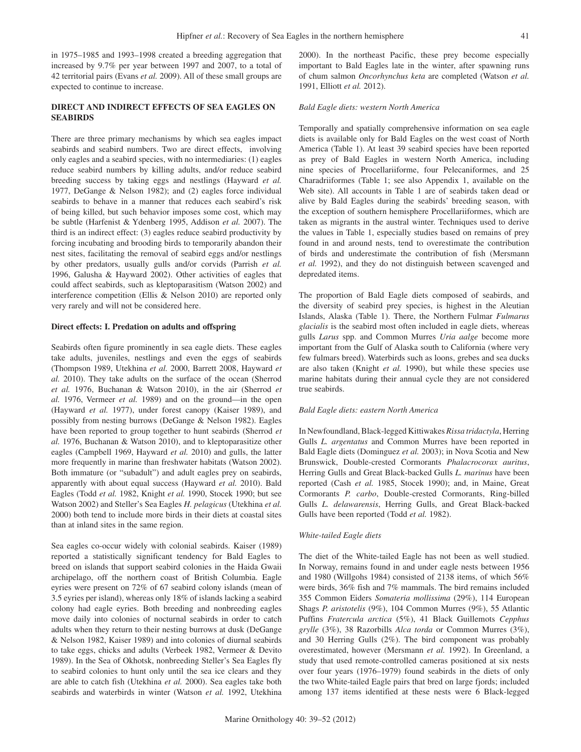in 1975–1985 and 1993–1998 created a breeding aggregation that increased by 9.7% per year between 1997 and 2007, to a total of 42 territorial pairs (Evans *et al.* 2009). All of these small groups are expected to continue to increase.

# **DIRECT AND INDIRECT EFFECTS OF SEA EAGLES ON SEABIRDS**

There are three primary mechanisms by which sea eagles impact seabirds and seabird numbers. Two are direct effects, involving only eagles and a seabird species, with no intermediaries: (1) eagles reduce seabird numbers by killing adults, and/or reduce seabird breeding success by taking eggs and nestlings (Hayward *et al.* 1977, DeGange & Nelson 1982); and (2) eagles force individual seabirds to behave in a manner that reduces each seabird's risk of being killed, but such behavior imposes some cost, which may be subtle (Harfenist & Ydenberg 1995, Addison *et al.* 2007). The third is an indirect effect: (3) eagles reduce seabird productivity by forcing incubating and brooding birds to temporarily abandon their nest sites, facilitating the removal of seabird eggs and/or nestlings by other predators, usually gulls and/or corvids (Parrish *et al.* 1996, Galusha & Hayward 2002). Other activities of eagles that could affect seabirds, such as kleptoparasitism (Watson 2002) and interference competition (Ellis & Nelson 2010) are reported only very rarely and will not be considered here.

## **Direct effects: I. Predation on adults and offspring**

Seabirds often figure prominently in sea eagle diets. These eagles take adults, juveniles, nestlings and even the eggs of seabirds (Thompson 1989, Utekhina *et al.* 2000, Barrett 2008, Hayward *et al.* 2010). They take adults on the surface of the ocean (Sherrod *et al.* 1976, Buchanan & Watson 2010), in the air (Sherrod *et al.* 1976, Vermeer *et al.* 1989) and on the ground—in the open (Hayward *et al.* 1977), under forest canopy (Kaiser 1989), and possibly from nesting burrows (DeGange & Nelson 1982). Eagles have been reported to group together to hunt seabirds (Sherrod *et al.* 1976, Buchanan & Watson 2010), and to kleptoparasitize other eagles (Campbell 1969, Hayward *et al.* 2010) and gulls, the latter more frequently in marine than freshwater habitats (Watson 2002). Both immature (or "subadult") and adult eagles prey on seabirds, apparently with about equal success (Hayward *et al.* 2010). Bald Eagles (Todd *et al.* 1982, Knight *et al.* 1990, Stocek 1990; but see Watson 2002) and Steller's Sea Eagles *H. pelagicus* (Utekhina *et al.* 2000) both tend to include more birds in their diets at coastal sites than at inland sites in the same region.

Sea eagles co-occur widely with colonial seabirds. Kaiser (1989) reported a statistically significant tendency for Bald Eagles to breed on islands that support seabird colonies in the Haida Gwaii archipelago, off the northern coast of British Columbia. Eagle eyries were present on 72% of 67 seabird colony islands (mean of 3.5 eyries per island), whereas only 18% of islands lacking a seabird colony had eagle eyries. Both breeding and nonbreeding eagles move daily into colonies of nocturnal seabirds in order to catch adults when they return to their nesting burrows at dusk (DeGange & Nelson 1982, Kaiser 1989) and into colonies of diurnal seabirds to take eggs, chicks and adults (Verbeek 1982, Vermeer & Devito 1989). In the Sea of Okhotsk, nonbreeding Steller's Sea Eagles fly to seabird colonies to hunt only until the sea ice clears and they are able to catch fish (Utekhina *et al.* 2000). Sea eagles take both seabirds and waterbirds in winter (Watson *et al.* 1992, Utekhina 2000). In the northeast Pacific, these prey become especially important to Bald Eagles late in the winter, after spawning runs of chum salmon *Oncorhynchus keta* are completed (Watson *et al.* 1991, Elliott *et al.* 2012).

# *Bald Eagle diets: western North America*

Temporally and spatially comprehensive information on sea eagle diets is available only for Bald Eagles on the west coast of North America (Table 1). At least 39 seabird species have been reported as prey of Bald Eagles in western North America, including nine species of Procellariiforme, four Pelecaniformes, and 25 Charadriiformes (Table 1; see also Appendix 1, available on the Web site). All accounts in Table 1 are of seabirds taken dead or alive by Bald Eagles during the seabirds' breeding season, with the exception of southern hemisphere Procellariiformes, which are taken as migrants in the austral winter. Techniques used to derive the values in Table 1, especially studies based on remains of prey found in and around nests, tend to overestimate the contribution of birds and underestimate the contribution of fish (Mersmann *et al.* 1992), and they do not distinguish between scavenged and depredated items.

The proportion of Bald Eagle diets composed of seabirds, and the diversity of seabird prey species, is highest in the Aleutian Islands, Alaska (Table 1). There, the Northern Fulmar *Fulmarus glacialis* is the seabird most often included in eagle diets, whereas gulls *Larus* spp. and Common Murres *Uria aalge* become more important from the Gulf of Alaska south to California (where very few fulmars breed). Waterbirds such as loons, grebes and sea ducks are also taken (Knight *et al.* 1990), but while these species use marine habitats during their annual cycle they are not considered true seabirds.

### *Bald Eagle diets: eastern North America*

In Newfoundland, Black-legged Kittiwakes *Rissa tridactyla*, Herring Gulls *L. argentatus* and Common Murres have been reported in Bald Eagle diets (Dominguez *et al.* 2003); in Nova Scotia and New Brunswick, Double-crested Cormorants *Phalacrocorax auritus*, Herring Gulls and Great Black-backed Gulls *L. marinus* have been reported (Cash *et al.* 1985, Stocek 1990); and, in Maine, Great Cormorants *P. carbo*, Double-crested Cormorants, Ring-billed Gulls *L. delawarensis*, Herring Gulls, and Great Black-backed Gulls have been reported (Todd *et al.* 1982).

#### *White-tailed Eagle diets*

The diet of the White-tailed Eagle has not been as well studied. In Norway, remains found in and under eagle nests between 1956 and 1980 (Willgohs 1984) consisted of 2138 items, of which 56% were birds, 36% fish and 7% mammals. The bird remains included 355 Common Eiders *Somateria mollissima* (29%), 114 European Shags *P. aristotelis* (9%), 104 Common Murres (9%), 55 Atlantic Puffins *Fratercula arctica* (5%), 41 Black Guillemots *Cepphus grylle* (3%), 38 Razorbills *Alca torda* or Common Murres (3%), and 30 Herring Gulls (2%). The bird component was probably overestimated, however (Mersmann *et al.* 1992). In Greenland, a study that used remote-controlled cameras positioned at six nests over four years (1976–1979) found seabirds in the diets of only the two White-tailed Eagle pairs that bred on large fjords; included among 137 items identified at these nests were 6 Black-legged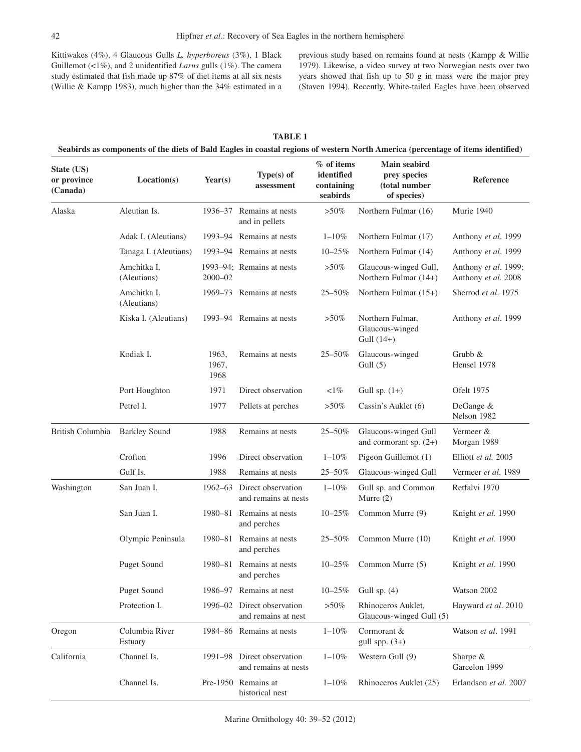Kittiwakes (4%), 4 Glaucous Gulls *L. hyperboreus* (3%), 1 Black Guillemot (<1%), and 2 unidentified *Larus* gulls (1%). The camera study estimated that fish made up 87% of diet items at all six nests (Willie & Kampp 1983), much higher than the 34% estimated in a previous study based on remains found at nests (Kampp & Willie 1979). Likewise, a video survey at two Norwegian nests over two years showed that fish up to 50 g in mass were the major prey (Staven 1994). Recently, White-tailed Eagles have been observed

| State (US)<br>or province<br>(Canada) | Location(s)                | Year $(s)$             | Type $(s)$ of<br>assessment                        | % of items<br>identified<br>containing<br>seabirds | Main seabird<br>prey species<br>(total number<br>of species) | Reference                                   |
|---------------------------------------|----------------------------|------------------------|----------------------------------------------------|----------------------------------------------------|--------------------------------------------------------------|---------------------------------------------|
| Alaska                                | Aleutian Is.               | 1936–37                | Remains at nests<br>and in pellets                 | $>50\%$                                            | Northern Fulmar (16)                                         | Murie 1940                                  |
|                                       | Adak I. (Aleutians)        |                        | 1993–94 Remains at nests                           | $1 - 10%$                                          | Northern Fulmar (17)                                         | Anthony et al. 1999                         |
|                                       | Tanaga I. (Aleutians)      |                        | 1993–94 Remains at nests                           | $10 - 25%$                                         | Northern Fulmar (14)                                         | Anthony et al. 1999                         |
|                                       | Amchitka I.<br>(Aleutians) | 2000-02                | 1993–94; Remains at nests                          | $>50\%$                                            | Glaucous-winged Gull,<br>Northern Fulmar (14+)               | Anthony et al. 1999;<br>Anthony et al. 2008 |
|                                       | Amchitka I.<br>(Aleutians) |                        | 1969–73 Remains at nests                           | 25-50%                                             | Northern Fulmar $(15+)$                                      | Sherrod et al. 1975                         |
|                                       | Kiska I. (Aleutians)       |                        | 1993–94 Remains at nests                           | $>50\%$                                            | Northern Fulmar,<br>Glaucous-winged<br>Gull $(14+)$          | Anthony et al. 1999                         |
|                                       | Kodiak I.                  | 1963,<br>1967,<br>1968 | Remains at nests                                   | 25-50%                                             | Glaucous-winged<br>Gull $(5)$                                | Grubb &<br>Hensel 1978                      |
|                                       | Port Houghton              | 1971                   | Direct observation                                 | $<1\%$                                             | Gull sp. $(1+)$                                              | Ofelt 1975                                  |
|                                       | Petrel I.                  | 1977                   | Pellets at perches                                 | $>50\%$                                            | Cassin's Auklet (6)                                          | DeGange &<br>Nelson 1982                    |
| British Columbia                      | <b>Barkley Sound</b>       | 1988                   | Remains at nests                                   | 25-50%                                             | Glaucous-winged Gull<br>and cormorant sp. $(2+)$             | Vermeer &<br>Morgan 1989                    |
|                                       | Crofton                    | 1996                   | Direct observation                                 | $1 - 10%$                                          | Pigeon Guillemot (1)                                         | Elliott et al. 2005                         |
|                                       | Gulf Is.                   | 1988                   | Remains at nests                                   | 25-50%                                             | Glaucous-winged Gull                                         | Vermeer et al. 1989                         |
| Washington                            | San Juan I.                |                        | 1962–63 Direct observation<br>and remains at nests | $1 - 10%$                                          | Gull sp. and Common<br>Murre $(2)$                           | Retfalvi 1970                               |
|                                       | San Juan I.                |                        | 1980–81 Remains at nests<br>and perches            | $10 - 25%$                                         | Common Murre (9)                                             | Knight et al. 1990                          |
|                                       | Olympic Peninsula          | 1980–81                | Remains at nests<br>and perches                    | $25 - 50\%$                                        | Common Murre (10)                                            | Knight et al. 1990                          |
|                                       | <b>Puget Sound</b>         |                        | 1980–81 Remains at nests<br>and perches            | $10 - 25%$                                         | Common Murre (5)                                             | Knight et al. 1990                          |
|                                       | <b>Puget Sound</b>         | 1986–97                | Remains at nest                                    | $10 - 25%$                                         | Gull sp. $(4)$                                               | Watson 2002                                 |
|                                       | Protection I.              | 1996-02                | Direct observation<br>and remains at nest          | $>\!\!50\%$                                        | Rhinoceros Auklet,<br>Glaucous-winged Gull (5)               | Hayward et al. 2010                         |
| Oregon                                | Columbia River<br>Estuary  |                        | 1984-86 Remains at nests                           | $1 - 10%$                                          | Cormorant &<br>gull spp. $(3+)$                              | Watson et al. 1991                          |
| California                            | Channel Is.                |                        | 1991-98 Direct observation<br>and remains at nests | $1 - 10%$                                          | Western Gull (9)                                             | Sharpe &<br>Garcelon 1999                   |
|                                       | Channel Is.                |                        | Pre-1950 Remains at<br>historical nest             | $1 - 10\%$                                         | Rhinoceros Auklet (25)                                       | Erlandson et al. 2007                       |

**TABLE 1**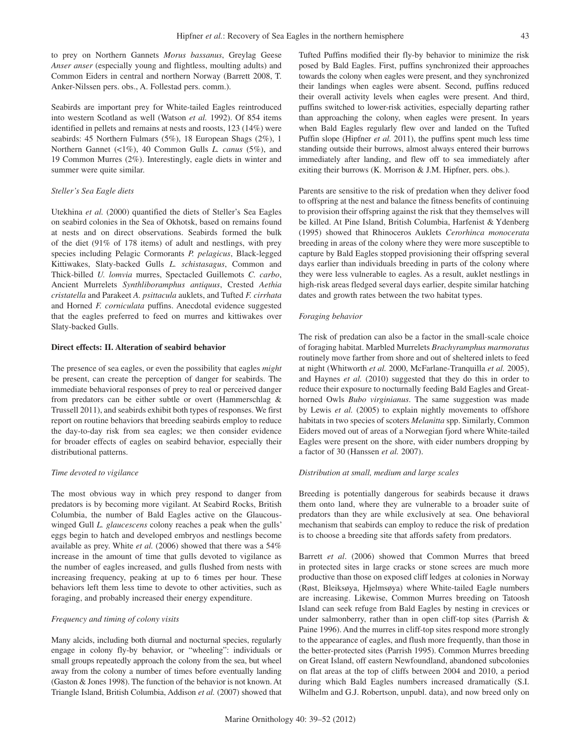to prey on Northern Gannets *Morus bassanus*, Greylag Geese *Anser anser* (especially young and flightless, moulting adults) and Common Eiders in central and northern Norway (Barrett 2008, T. Anker-Nilssen pers. obs., A. Follestad pers. comm.).

Seabirds are important prey for White-tailed Eagles reintroduced into western Scotland as well (Watson *et al.* 1992). Of 854 items identified in pellets and remains at nests and roosts, 123 (14%) were seabirds: 45 Northern Fulmars (5%), 18 European Shags (2%), 1 Northern Gannet (<1%), 40 Common Gulls *L. canus* (5%), and 19 Common Murres (2%). Interestingly, eagle diets in winter and summer were quite similar.

# *Steller's Sea Eagle diets*

Utekhina *et al.* (2000) quantified the diets of Steller's Sea Eagles on seabird colonies in the Sea of Okhotsk, based on remains found at nests and on direct observations. Seabirds formed the bulk of the diet (91% of 178 items) of adult and nestlings, with prey species including Pelagic Cormorants *P. pelagicus*, Black-legged Kittiwakes, Slaty-backed Gulls *L. schistasagus*, Common and Thick-billed *U. lomvia* murres, Spectacled Guillemots *C. carbo*, Ancient Murrelets *Synthliboramphus antiquus*, Crested *Aethia cristatella* and Parakeet *A. psittacula* auklets, and Tufted *F. cirrhata* and Horned *F. corniculata* puffins. Anecdotal evidence suggested that the eagles preferred to feed on murres and kittiwakes over Slaty-backed Gulls.

## **Direct effects: II. Alteration of seabird behavior**

The presence of sea eagles, or even the possibility that eagles *might* be present, can create the perception of danger for seabirds. The immediate behavioral responses of prey to real or perceived danger from predators can be either subtle or overt (Hammerschlag & Trussell 2011), and seabirds exhibit both types of responses. We first report on routine behaviors that breeding seabirds employ to reduce the day-to-day risk from sea eagles; we then consider evidence for broader effects of eagles on seabird behavior, especially their distributional patterns.

#### *Time devoted to vigilance*

The most obvious way in which prey respond to danger from predators is by becoming more vigilant. At Seabird Rocks, British Columbia, the number of Bald Eagles active on the Glaucouswinged Gull *L. glaucescens* colony reaches a peak when the gulls' eggs begin to hatch and developed embryos and nestlings become available as prey. White *et al.* (2006) showed that there was a 54% increase in the amount of time that gulls devoted to vigilance as the number of eagles increased, and gulls flushed from nests with increasing frequency, peaking at up to 6 times per hour. These behaviors left them less time to devote to other activities, such as foraging, and probably increased their energy expenditure.

## *Frequency and timing of colony visits*

Many alcids, including both diurnal and nocturnal species, regularly engage in colony fly-by behavior, or "wheeling": individuals or small groups repeatedly approach the colony from the sea, but wheel away from the colony a number of times before eventually landing (Gaston & Jones 1998). The function of the behavior is not known. At Triangle Island, British Columbia, Addison *et al.* (2007) showed that Tufted Puffins modified their fly-by behavior to minimize the risk posed by Bald Eagles. First, puffins synchronized their approaches towards the colony when eagles were present, and they synchronized their landings when eagles were absent. Second, puffins reduced their overall activity levels when eagles were present. And third, puffins switched to lower-risk activities, especially departing rather than approaching the colony, when eagles were present. In years when Bald Eagles regularly flew over and landed on the Tufted Puffin slope (Hipfner *et al.* 2011), the puffins spent much less time standing outside their burrows, almost always entered their burrows immediately after landing, and flew off to sea immediately after exiting their burrows (K. Morrison & J.M. Hipfner, pers. obs.).

Parents are sensitive to the risk of predation when they deliver food to offspring at the nest and balance the fitness benefits of continuing to provision their offspring against the risk that they themselves will be killed. At Pine Island, British Columbia, Harfenist & Ydenberg (1995) showed that Rhinoceros Auklets *Cerorhinca monocerata* breeding in areas of the colony where they were more susceptible to capture by Bald Eagles stopped provisioning their offspring several days earlier than individuals breeding in parts of the colony where they were less vulnerable to eagles. As a result, auklet nestlings in high-risk areas fledged several days earlier, despite similar hatching dates and growth rates between the two habitat types.

## *Foraging behavior*

The risk of predation can also be a factor in the small-scale choice of foraging habitat. Marbled Murrelets *Brachyramphus marmoratus* routinely move farther from shore and out of sheltered inlets to feed at night (Whitworth *et al.* 2000, McFarlane-Tranquilla *et al.* 2005), and Haynes *et al.* (2010) suggested that they do this in order to reduce their exposure to nocturnally feeding Bald Eagles and Greathorned Owls *Bubo virginianus*. The same suggestion was made by Lewis *et al.* (2005) to explain nightly movements to offshore habitats in two species of scoters *Melanitta* spp. Similarly, Common Eiders moved out of areas of a Norwegian fjord where White-tailed Eagles were present on the shore, with eider numbers dropping by a factor of 30 (Hanssen *et al.* 2007).

#### *Distribution at small, medium and large scales*

Breeding is potentially dangerous for seabirds because it draws them onto land, where they are vulnerable to a broader suite of predators than they are while exclusively at sea. One behavioral mechanism that seabirds can employ to reduce the risk of predation is to choose a breeding site that affords safety from predators.

Barrett *et al*. (2006) showed that Common Murres that breed in protected sites in large cracks or stone screes are much more productive than those on exposed cliff ledges at colonies in Norway (Røst, Bleiksøya, Hjelmsøya) where White-tailed Eagle numbers are increasing. Likewise, Common Murres breeding on Tatoosh Island can seek refuge from Bald Eagles by nesting in crevices or under salmonberry, rather than in open cliff-top sites (Parrish  $\&$ Paine 1996). And the murres in cliff-top sites respond more strongly to the appearance of eagles, and flush more frequently, than those in the better-protected sites (Parrish 1995). Common Murres breeding on Great Island, off eastern Newfoundland, abandoned subcolonies on flat areas at the top of cliffs between 2004 and 2010, a period during which Bald Eagles numbers increased dramatically (S.I. Wilhelm and G.J. Robertson, unpubl. data), and now breed only on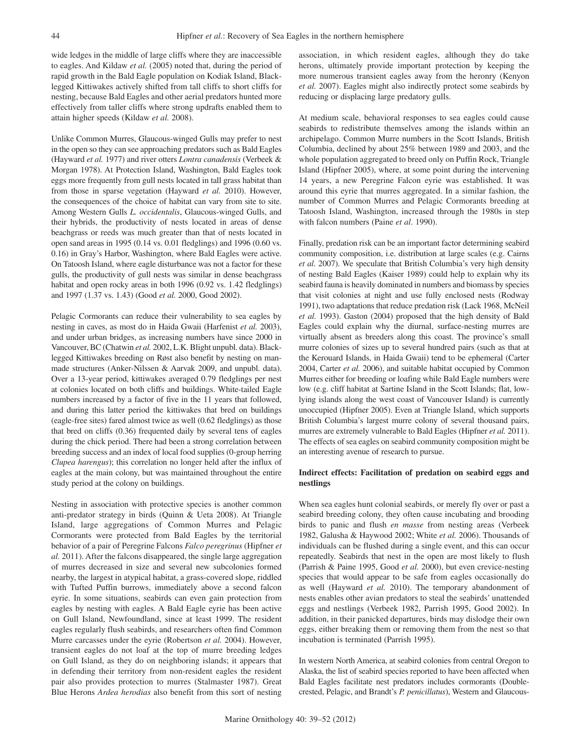wide ledges in the middle of large cliffs where they are inaccessible to eagles. And Kildaw *et al.* (2005) noted that, during the period of rapid growth in the Bald Eagle population on Kodiak Island, Blacklegged Kittiwakes actively shifted from tall cliffs to short cliffs for nesting, because Bald Eagles and other aerial predators hunted more effectively from taller cliffs where strong updrafts enabled them to attain higher speeds (Kildaw *et al.* 2008).

Unlike Common Murres, Glaucous-winged Gulls may prefer to nest in the open so they can see approaching predators such as Bald Eagles (Hayward *et al.* 1977) and river otters *Lontra canadensis* (Verbeek & Morgan 1978). At Protection Island, Washington, Bald Eagles took eggs more frequently from gull nests located in tall grass habitat than from those in sparse vegetation (Hayward *et al.* 2010). However, the consequences of the choice of habitat can vary from site to site. Among Western Gulls *L. occidentalis*, Glaucous-winged Gulls, and their hybrids, the productivity of nests located in areas of dense beachgrass or reeds was much greater than that of nests located in open sand areas in 1995 (0.14 vs. 0.01 fledglings) and 1996 (0.60 vs. 0.16) in Gray's Harbor, Washington, where Bald Eagles were active. On Tatoosh Island, where eagle disturbance was not a factor for these gulls, the productivity of gull nests was similar in dense beachgrass habitat and open rocky areas in both 1996 (0.92 vs. 1.42 fledglings) and 1997 (1.37 vs. 1.43) (Good *et al.* 2000, Good 2002).

Pelagic Cormorants can reduce their vulnerability to sea eagles by nesting in caves, as most do in Haida Gwaii (Harfenist *et al.* 2003), and under urban bridges, as increasing numbers have since 2000 in Vancouver, BC (Chatwin *et al.* 2002, L.K. Blight unpubl. data). Blacklegged Kittiwakes breeding on Røst also benefit by nesting on manmade structures (Anker-Nilssen & Aarvak 2009, and unpubl. data). Over a 13-year period, kittiwakes averaged 0.79 fledglings per nest at colonies located on both cliffs and buildings. White-tailed Eagle numbers increased by a factor of five in the 11 years that followed, and during this latter period the kittiwakes that bred on buildings (eagle-free sites) fared almost twice as well (0.62 fledglings) as those that bred on cliffs (0.36) frequented daily by several tens of eagles during the chick period. There had been a strong correlation between breeding success and an index of local food supplies (0-group herring *Clupea harengus*); this correlation no longer held after the influx of eagles at the main colony, but was maintained throughout the entire study period at the colony on buildings.

Nesting in association with protective species is another common anti-predator strategy in birds (Quinn & Ueta 2008). At Triangle Island, large aggregations of Common Murres and Pelagic Cormorants were protected from Bald Eagles by the territorial behavior of a pair of Peregrine Falcons *Falco peregrinus* (Hipfner *et al.* 2011). After the falcons disappeared, the single large aggregation of murres decreased in size and several new subcolonies formed nearby, the largest in atypical habitat, a grass-covered slope, riddled with Tufted Puffin burrows, immediately above a second falcon eyrie. In some situations, seabirds can even gain protection from eagles by nesting with eagles. A Bald Eagle eyrie has been active on Gull Island, Newfoundland, since at least 1999. The resident eagles regularly flush seabirds, and researchers often find Common Murre carcasses under the eyrie (Robertson *et al.* 2004). However, transient eagles do not loaf at the top of murre breeding ledges on Gull Island, as they do on neighboring islands; it appears that in defending their territory from non-resident eagles the resident pair also provides protection to murres (Stalmaster 1987). Great Blue Herons *Ardea herodias* also benefit from this sort of nesting association, in which resident eagles, although they do take herons, ultimately provide important protection by keeping the more numerous transient eagles away from the heronry (Kenyon *et al.* 2007). Eagles might also indirectly protect some seabirds by reducing or displacing large predatory gulls.

At medium scale, behavioral responses to sea eagles could cause seabirds to redistribute themselves among the islands within an archipelago. Common Murre numbers in the Scott Islands, British Columbia, declined by about 25% between 1989 and 2003, and the whole population aggregated to breed only on Puffin Rock, Triangle Island (Hipfner 2005), where, at some point during the intervening 14 years, a new Peregrine Falcon eyrie was established. It was around this eyrie that murres aggregated. In a similar fashion, the number of Common Murres and Pelagic Cormorants breeding at Tatoosh Island, Washington, increased through the 1980s in step with falcon numbers (Paine *et al*. 1990).

Finally, predation risk can be an important factor determining seabird community composition, i.e. distribution at large scales (e.g. Cairns *et al.* 2007). We speculate that British Columbia's very high density of nesting Bald Eagles (Kaiser 1989) could help to explain why its seabird fauna is heavily dominated in numbers and biomass by species that visit colonies at night and use fully enclosed nests (Rodway 1991), two adaptations that reduce predation risk (Lack 1968, McNeil *et al.* 1993). Gaston (2004) proposed that the high density of Bald Eagles could explain why the diurnal, surface-nesting murres are virtually absent as breeders along this coast. The province's small murre colonies of sizes up to several hundred pairs (such as that at the Kerouard Islands, in Haida Gwaii) tend to be ephemeral (Carter 2004, Carter *et al.* 2006), and suitable habitat occupied by Common Murres either for breeding or loafing while Bald Eagle numbers were low (e.g. cliff habitat at Sartine Island in the Scott Islands; flat, lowlying islands along the west coast of Vancouver Island) is currently unoccupied (Hipfner 2005). Even at Triangle Island, which supports British Columbia's largest murre colony of several thousand pairs, murres are extremely vulnerable to Bald Eagles (Hipfner *et al.* 2011). The effects of sea eagles on seabird community composition might be an interesting avenue of research to pursue.

# **Indirect effects: Facilitation of predation on seabird eggs and nestlings**

When sea eagles hunt colonial seabirds, or merely fly over or past a seabird breeding colony, they often cause incubating and brooding birds to panic and flush *en masse* from nesting areas (Verbeek 1982, Galusha & Haywood 2002; White *et al.* 2006). Thousands of individuals can be flushed during a single event, and this can occur repeatedly. Seabirds that nest in the open are most likely to flush (Parrish & Paine 1995, Good *et al.* 2000), but even crevice-nesting species that would appear to be safe from eagles occasionally do as well (Hayward *et al.* 2010). The temporary abandonment of nests enables other avian predators to steal the seabirds' unattended eggs and nestlings (Verbeek 1982, Parrish 1995, Good 2002). In addition, in their panicked departures, birds may dislodge their own eggs, either breaking them or removing them from the nest so that incubation is terminated (Parrish 1995).

In western North America, at seabird colonies from central Oregon to Alaska, the list of seabird species reported to have been affected when Bald Eagles facilitate nest predators includes cormorants (Doublecrested, Pelagic, and Brandt's *P. penicillatus*), Western and Glaucous-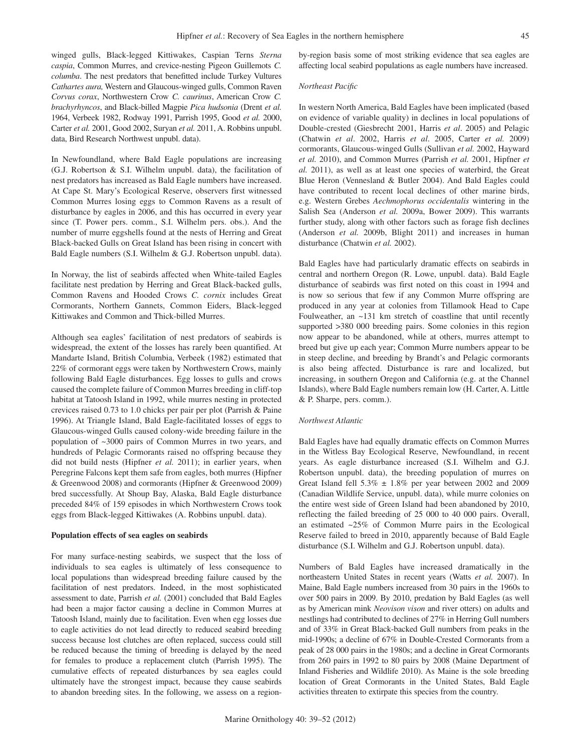winged gulls, Black-legged Kittiwakes, Caspian Terns *Sterna caspia*, Common Murres, and crevice-nesting Pigeon Guillemots *C. columba*. The nest predators that benefitted include Turkey Vultures *Cathartes aura,* Western and Glaucous-winged gulls, Common Raven *Corvus corax*, Northwestern Crow *C. caurinus*, American Crow *C. brachyrhyncos*, and Black-billed Magpie *Pica hudsonia* (Drent *et al.* 1964, Verbeek 1982, Rodway 1991, Parrish 1995, Good *et al.* 2000, Carter *et al.* 2001, Good 2002, Suryan *et al.* 2011, A. Robbins unpubl. data, Bird Research Northwest unpubl. data).

In Newfoundland, where Bald Eagle populations are increasing (G.J. Robertson & S.I. Wilhelm unpubl. data), the facilitation of nest predators has increased as Bald Eagle numbers have increased. At Cape St. Mary's Ecological Reserve, observers first witnessed Common Murres losing eggs to Common Ravens as a result of disturbance by eagles in 2006, and this has occurred in every year since (T. Power pers. comm., S.I. Wilhelm pers. obs.). And the number of murre eggshells found at the nests of Herring and Great Black-backed Gulls on Great Island has been rising in concert with Bald Eagle numbers (S.I. Wilhelm & G.J. Robertson unpubl. data).

In Norway, the list of seabirds affected when White-tailed Eagles facilitate nest predation by Herring and Great Black-backed gulls, Common Ravens and Hooded Crows *C. cornix* includes Great Cormorants, Northern Gannets, Common Eiders, Black-legged Kittiwakes and Common and Thick-billed Murres.

Although sea eagles' facilitation of nest predators of seabirds is widespread, the extent of the losses has rarely been quantified. At Mandarte Island, British Columbia, Verbeek (1982) estimated that 22% of cormorant eggs were taken by Northwestern Crows, mainly following Bald Eagle disturbances. Egg losses to gulls and crows caused the complete failure of Common Murres breeding in cliff-top habitat at Tatoosh Island in 1992, while murres nesting in protected crevices raised 0.73 to 1.0 chicks per pair per plot (Parrish & Paine 1996). At Triangle Island, Bald Eagle-facilitated losses of eggs to Glaucous-winged Gulls caused colony-wide breeding failure in the population of ~3000 pairs of Common Murres in two years, and hundreds of Pelagic Cormorants raised no offspring because they did not build nests (Hipfner *et al.* 2011); in earlier years, when Peregrine Falcons kept them safe from eagles, both murres (Hipfner & Greenwood 2008) and cormorants (Hipfner & Greenwood 2009) bred successfully. At Shoup Bay, Alaska, Bald Eagle disturbance preceded 84% of 159 episodes in which Northwestern Crows took eggs from Black-legged Kittiwakes (A. Robbins unpubl. data).

#### **Population effects of sea eagles on seabirds**

For many surface-nesting seabirds, we suspect that the loss of individuals to sea eagles is ultimately of less consequence to local populations than widespread breeding failure caused by the facilitation of nest predators. Indeed, in the most sophisticated assessment to date, Parrish *et al.* (2001) concluded that Bald Eagles had been a major factor causing a decline in Common Murres at Tatoosh Island, mainly due to facilitation. Even when egg losses due to eagle activities do not lead directly to reduced seabird breeding success because lost clutches are often replaced, success could still be reduced because the timing of breeding is delayed by the need for females to produce a replacement clutch (Parrish 1995). The cumulative effects of repeated disturbances by sea eagles could ultimately have the strongest impact, because they cause seabirds to abandon breeding sites. In the following, we assess on a regionby-region basis some of most striking evidence that sea eagles are affecting local seabird populations as eagle numbers have increased.

#### *Northeast Pacific*

In western North America, Bald Eagles have been implicated (based on evidence of variable quality) in declines in local populations of Double-crested (Giesbrecht 2001, Harris *et al*. 2005) and Pelagic (Chatwin *et al*. 2002, Harris *et al*. 2005, Carter *et al.* 2009) cormorants, Glaucous-winged Gulls (Sullivan *et al.* 2002, Hayward *et al.* 2010), and Common Murres (Parrish *et al.* 2001, Hipfner *et al.* 2011), as well as at least one species of waterbird, the Great Blue Heron (Vennesland & Butler 2004). And Bald Eagles could have contributed to recent local declines of other marine birds, e.g. Western Grebes *Aechmophorus occidentalis* wintering in the Salish Sea (Anderson *et al.* 2009a, Bower 2009). This warrants further study, along with other factors such as forage fish declines (Anderson *et al.* 2009b, Blight 2011) and increases in human disturbance (Chatwin *et al.* 2002).

Bald Eagles have had particularly dramatic effects on seabirds in central and northern Oregon (R. Lowe, unpubl. data). Bald Eagle disturbance of seabirds was first noted on this coast in 1994 and is now so serious that few if any Common Murre offspring are produced in any year at colonies from Tillamook Head to Cape Foulweather, an ~131 km stretch of coastline that until recently supported >380 000 breeding pairs. Some colonies in this region now appear to be abandoned, while at others, murres attempt to breed but give up each year; Common Murre numbers appear to be in steep decline, and breeding by Brandt's and Pelagic cormorants is also being affected. Disturbance is rare and localized, but increasing, in southern Oregon and California (e.g. at the Channel Islands), where Bald Eagle numbers remain low (H. Carter, A. Little & P. Sharpe, pers. comm.).

#### *Northwest Atlantic*

Bald Eagles have had equally dramatic effects on Common Murres in the Witless Bay Ecological Reserve, Newfoundland, in recent years. As eagle disturbance increased (S.I. Wilhelm and G.J. Robertson unpubl. data), the breeding population of murres on Great Island fell  $5.3\% \pm 1.8\%$  per year between 2002 and 2009 (Canadian Wildlife Service, unpubl. data), while murre colonies on the entire west side of Green Island had been abandoned by 2010, reflecting the failed breeding of 25 000 to 40 000 pairs. Overall, an estimated ~25% of Common Murre pairs in the Ecological Reserve failed to breed in 2010, apparently because of Bald Eagle disturbance (S.I. Wilhelm and G.J. Robertson unpubl. data).

Numbers of Bald Eagles have increased dramatically in the northeastern United States in recent years (Watts *et al.* 2007). In Maine, Bald Eagle numbers increased from 30 pairs in the 1960s to over 500 pairs in 2009. By 2010, predation by Bald Eagles (as well as by American mink *Neovison vison* and river otters) on adults and nestlings had contributed to declines of 27% in Herring Gull numbers and of 33% in Great Black-backed Gull numbers from peaks in the mid-1990s; a decline of 67% in Double-Crested Cormorants from a peak of 28 000 pairs in the 1980s; and a decline in Great Cormorants from 260 pairs in 1992 to 80 pairs by 2008 (Maine Department of Inland Fisheries and Wildlife 2010). As Maine is the sole breeding location of Great Cormorants in the United States, Bald Eagle activities threaten to extirpate this species from the country.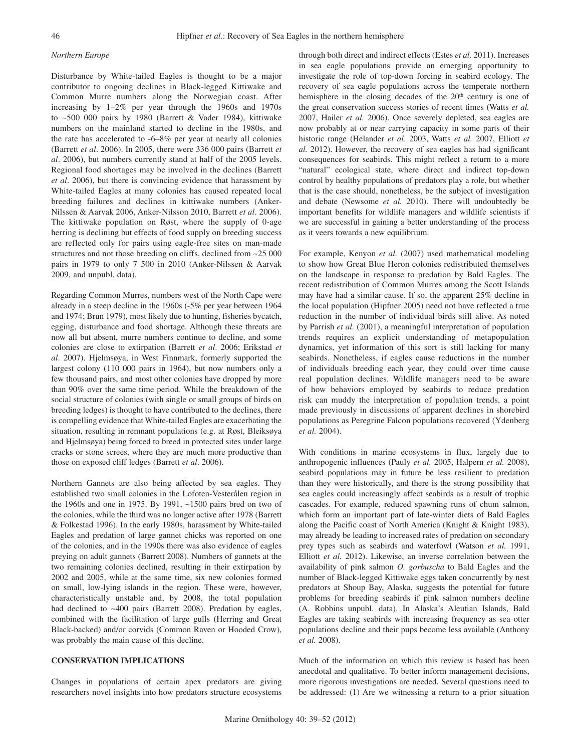# *Northern Europe*

Disturbance by White-tailed Eagles is thought to be a major contributor to ongoing declines in Black-legged Kittiwake and Common Murre numbers along the Norwegian coast. After increasing by 1–2% per year through the 1960s and 1970s to  $\sim$  500 000 pairs by 1980 (Barrett & Vader 1984), kittiwake numbers on the mainland started to decline in the 1980s, and the rate has accelerated to -6–8% per year at nearly all colonies (Barrett *et al*. 2006). In 2005, there were 336 000 pairs (Barrett *et al*. 2006), but numbers currently stand at half of the 2005 levels. Regional food shortages may be involved in the declines (Barrett *et al*. 2006), but there is convincing evidence that harassment by White-tailed Eagles at many colonies has caused repeated local breeding failures and declines in kittiwake numbers (Anker-Nilssen & Aarvak 2006, Anker-Nilsson 2010, Barrett *et al*. 2006). The kittiwake population on Røst, where the supply of 0-age herring is declining but effects of food supply on breeding success are reflected only for pairs using eagle-free sites on man-made structures and not those breeding on cliffs, declined from ~25 000 pairs in 1979 to only 7 500 in 2010 (Anker-Nilssen & Aarvak 2009, and unpubl. data).

Regarding Common Murres, numbers west of the North Cape were already in a steep decline in the 1960s (-5% per year between 1964 and 1974; Brun 1979), most likely due to hunting, fisheries bycatch, egging, disturbance and food shortage. Although these threats are now all but absent, murre numbers continue to decline, and some colonies are close to extirpation (Barrett *et al*. 2006; Erikstad *et al*. 2007). Hjelmsøya, in West Finnmark, formerly supported the largest colony (110 000 pairs in 1964), but now numbers only a few thousand pairs, and most other colonies have dropped by more than 90% over the same time period. While the breakdown of the social structure of colonies (with single or small groups of birds on breeding ledges) is thought to have contributed to the declines, there is compelling evidence that White-tailed Eagles are exacerbating the situation, resulting in remnant populations (e.g. at Røst, Bleiksøya and Hjelmsøya) being forced to breed in protected sites under large cracks or stone screes, where they are much more productive than those on exposed cliff ledges (Barrett *et al*. 2006).

Northern Gannets are also being affected by sea eagles. They established two small colonies in the Lofoten-Vesterålen region in the 1960s and one in 1975. By 1991, ~1500 pairs bred on two of the colonies, while the third was no longer active after 1978 (Barrett & Folkestad 1996). In the early 1980s, harassment by White-tailed Eagles and predation of large gannet chicks was reported on one of the colonies, and in the 1990s there was also evidence of eagles preying on adult gannets (Barrett 2008). Numbers of gannets at the two remaining colonies declined, resulting in their extirpation by 2002 and 2005, while at the same time, six new colonies formed on small, low-lying islands in the region. These were, however, characteristically unstable and, by 2008, the total population had declined to ~400 pairs (Barrett 2008). Predation by eagles, combined with the facilitation of large gulls (Herring and Great Black-backed) and/or corvids (Common Raven or Hooded Crow), was probably the main cause of this decline.

## **CONSERVATION IMPLICATIONS**

Changes in populations of certain apex predators are giving researchers novel insights into how predators structure ecosystems through both direct and indirect effects (Estes *et al.* 2011). Increases in sea eagle populations provide an emerging opportunity to investigate the role of top-down forcing in seabird ecology. The recovery of sea eagle populations across the temperate northern hemisphere in the closing decades of the 20<sup>th</sup> century is one of the great conservation success stories of recent times (Watts *et al.*  2007, Hailer *et al.* 2006). Once severely depleted, sea eagles are now probably at or near carrying capacity in some parts of their historic range (Helander *et al*. 2003, Watts *et al.* 2007, Elliott *et al.* 2012). However, the recovery of sea eagles has had significant consequences for seabirds. This might reflect a return to a more "natural" ecological state, where direct and indirect top-down control by healthy populations of predators play a role, but whether that is the case should, nonetheless, be the subject of investigation and debate (Newsome *et al.* 2010). There will undoubtedly be important benefits for wildlife managers and wildlife scientists if we are successful in gaining a better understanding of the process as it veers towards a new equilibrium.

For example, Kenyon *et al.* (2007) used mathematical modeling to show how Great Blue Heron colonies redistributed themselves on the landscape in response to predation by Bald Eagles. The recent redistribution of Common Murres among the Scott Islands may have had a similar cause. If so, the apparent 25% decline in the local population (Hipfner 2005) need not have reflected a true reduction in the number of individual birds still alive. As noted by Parrish *et al.* (2001), a meaningful interpretation of population trends requires an explicit understanding of metapopulation dynamics, yet information of this sort is still lacking for many seabirds. Nonetheless, if eagles cause reductions in the number of individuals breeding each year, they could over time cause real population declines. Wildlife managers need to be aware of how behaviors employed by seabirds to reduce predation risk can muddy the interpretation of population trends, a point made previously in discussions of apparent declines in shorebird populations as Peregrine Falcon populations recovered (Ydenberg *et al.* 2004).

With conditions in marine ecosystems in flux, largely due to anthropogenic influences (Pauly *et al.* 2005, Halpern *et al.* 2008), seabird populations may in future be less resilient to predation than they were historically, and there is the strong possibility that sea eagles could increasingly affect seabirds as a result of trophic cascades. For example, reduced spawning runs of chum salmon, which form an important part of late-winter diets of Bald Eagles along the Pacific coast of North America (Knight & Knight 1983), may already be leading to increased rates of predation on secondary prey types such as seabirds and waterfowl (Watson *et al.* 1991, Elliott *et al.* 2012). Likewise, an inverse correlation between the availability of pink salmon *O. gorbuscha* to Bald Eagles and the number of Black-legged Kittiwake eggs taken concurrently by nest predators at Shoup Bay, Alaska, suggests the potential for future problems for breeding seabirds if pink salmon numbers decline (A. Robbins unpubl. data). In Alaska's Aleutian Islands, Bald Eagles are taking seabirds with increasing frequency as sea otter populations decline and their pups become less available (Anthony *et al.* 2008).

Much of the information on which this review is based has been anecdotal and qualitative. To better inform management decisions, more rigorous investigations are needed. Several questions need to be addressed: (1) Are we witnessing a return to a prior situation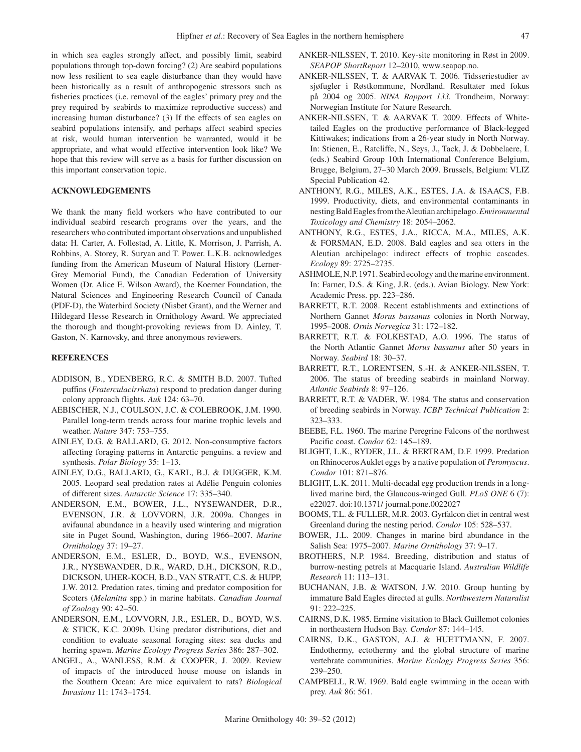in which sea eagles strongly affect, and possibly limit, seabird populations through top-down forcing? (2) Are seabird populations now less resilient to sea eagle disturbance than they would have been historically as a result of anthropogenic stressors such as fisheries practices (i.e. removal of the eagles' primary prey and the prey required by seabirds to maximize reproductive success) and increasing human disturbance? (3) If the effects of sea eagles on seabird populations intensify, and perhaps affect seabird species at risk, would human intervention be warranted, would it be appropriate, and what would effective intervention look like? We hope that this review will serve as a basis for further discussion on this important conservation topic.

# **ACKNOWLEDGEMENTS**

We thank the many field workers who have contributed to our individual seabird research programs over the years, and the researchers who contributed important observations and unpublished data: H. Carter, A. Follestad, A. Little, K. Morrison, J. Parrish, A. Robbins, A. Storey, R. Suryan and T. Power. L.K.B. acknowledges funding from the American Museum of Natural History (Lerner-Grey Memorial Fund), the Canadian Federation of University Women (Dr. Alice E. Wilson Award), the Koerner Foundation, the Natural Sciences and Engineering Research Council of Canada (PDF-D), the Waterbird Society (Nisbet Grant), and the Werner and Hildegard Hesse Research in Ornithology Award. We appreciated the thorough and thought-provoking reviews from D. Ainley, T. Gaston, N. Karnovsky, and three anonymous reviewers.

## **REFERENCES**

- ADDISON, B., YDENBERG, R.C. & SMITH B.D. 2007. Tufted puffins (*Fraterculacirrhata*) respond to predation danger during colony approach flights. *Auk* 124: 63–70.
- AEBISCHER, N.J., COULSON, J.C. & COLEBROOK, J.M. 1990. Parallel long-term trends across four marine trophic levels and weather. *Nature* 347: 753–755.
- AINLEY, D.G. & BALLARD, G. 2012. Non-consumptive factors affecting foraging patterns in Antarctic penguins. a review and synthesis. *Polar Biology* 35: 1–13.
- AINLEY, D.G., BALLARD, G., KARL, B.J. & DUGGER, K.M. 2005. Leopard seal predation rates at Adélie Penguin colonies of different sizes. *Antarctic Science* 17: 335–340.
- ANDERSON, E.M., BOWER, J.L., NYSEWANDER, D.R., EVENSON, J.R. & LOVVORN, J.R. 2009a. Changes in avifaunal abundance in a heavily used wintering and migration site in Puget Sound, Washington, during 1966–2007. *Marine Ornithology* 37: 19–27.
- ANDERSON, E.M., ESLER, D., BOYD, W.S., EVENSON, J.R., NYSEWANDER, D.R., WARD, D.H., DICKSON, R.D., DICKSON, UHER-KOCH, B.D., VAN STRATT, C.S. & HUPP, J.W. 2012. Predation rates, timing and predator composition for Scoters (*Melanitta* spp.) in marine habitats. *Canadian Journal of Zoology* 90: 42–50.
- ANDERSON, E.M., LOVVORN, J.R., ESLER, D., BOYD, W.S. & STICK, K.C. 2009b. Using predator distributions, diet and condition to evaluate seasonal foraging sites: sea ducks and herring spawn. *Marine Ecology Progress Series* 386: 287–302.
- ANGEL, A., WANLESS, R.M. & COOPER, J. 2009. Review of impacts of the introduced house mouse on islands in the Southern Ocean: Are mice equivalent to rats? *Biological Invasions* 11: 1743–1754.
- Anker-Nilssen, T. 2010. Key-site monitoring in Røst in 2009. *SEAPOP ShortReport* 12–2010, www.seapop.no.
- Anker-Nilssen, T. & Aarvak T. 2006. Tidsseriestudier av sjøfugler i Røstkommune, Nordland. Resultater med fokus på 2004 og 2005. *NINA Rapport 133.* Trondheim, Norway: Norwegian Institute for Nature Research.
- Anker-Nilssen, T. & Aarvak T. 2009. Effects of Whitetailed Eagles on the productive performance of Black-legged Kittiwakes; indications from a 26-year study in North Norway. In: Stienen, E., Ratcliffe, N., Seys, J., Tack, J. & Dobbelaere, I. (eds.) Seabird Group 10th International Conference Belgium, Brugge, Belgium, 27–30 March 2009. Brussels, Belgium: VLIZ Special Publication 42.
- ANTHONY, R.G., MILES, A.K., ESTES, J.A. & ISAACS, F.B. 1999. Productivity, diets, and environmental contaminants in nesting Bald Eagles from the Aleutian archipelago. *Environmental Toxicology and Chemistry* 18: 2054–2062.
- ANTHONY, R.G., ESTES, J.A., RICCA, M.A., MILES, A.K. & FORSMAN, E.D. 2008. Bald eagles and sea otters in the Aleutian archipelago: indirect effects of trophic cascades. *Ecology* 89: 2725–2735.
- ASHMOLE, N.P. 1971. Seabird ecology and the marine environment. In: Farner, D.S. & King, J.R. (eds.). Avian Biology. New York: Academic Press. pp. 223–286.
- BARRETT, R.T. 2008. Recent establishments and extinctions of Northern Gannet *Morus bassanus* colonies in North Norway, 1995–2008. *Ornis Norvegica* 31: 172–182.
- BARRETT, R.T. & FOLKESTAD, A.O. 1996. The status of the North Atlantic Gannet *Morus bassanus* after 50 years in Norway. *Seabird* 18: 30–37.
- Barrett, R.T., Lorentsen, S.-H. & Anker-Nilssen, T. 2006. The status of breeding seabirds in mainland Norway. *Atlantic Seabirds* 8: 97–126.
- BARRETT, R.T. & VADER, W. 1984. The status and conservation of breeding seabirds in Norway. *ICBP Technical Publication* 2: 323–333.
- BEEBE, F.L. 1960. The marine Peregrine Falcons of the northwest Pacific coast. *Condor* 62: 145–189.
- BLIGHT, L.K., RYDER, J.L. & BERTRAM, D.F. 1999. Predation on Rhinoceros Auklet eggs by a native population of *Peromyscus*. *Condor* 101: 871–876.
- BLIGHT, L.K. 2011. Multi-decadal egg production trends in a longlived marine bird, the Glaucous-winged Gull. *PLoS ONE* 6 (7): e22027. doi:10.1371/ journal.pone.0022027
- BOOMS, T.L. & FULLER, M.R. 2003. Gyrfalcon diet in central west Greenland during the nesting period. *Condor* 105: 528–537.
- BOWER, J.L. 2009. Changes in marine bird abundance in the Salish Sea: 1975–2007. *Marine Ornithology* 37: 9–17.
- BROTHERS, N.P. 1984. Breeding, distribution and status of burrow-nesting petrels at Macquarie Island. *Australian Wildlife Research* 11: 113–131.
- BUCHANAN, J.B. & WATSON, J.W. 2010. Group hunting by immature Bald Eagles directed at gulls. *Northwestern Naturalist*  91: 222–225.
- CAIRNS, D.K. 1985. Ermine visitation to Black Guillemot colonies in northeastern Hudson Bay. *Condor* 87: 144–145.
- CAIRNS, D.K., GASTON, A.J. & HUETTMANN, F. 2007. Endothermy, ectothermy and the global structure of marine vertebrate communities. *Marine Ecology Progress Series* 356: 239–250.
- CAMPBELL, R.W. 1969. Bald eagle swimming in the ocean with prey. *Auk* 86: 561.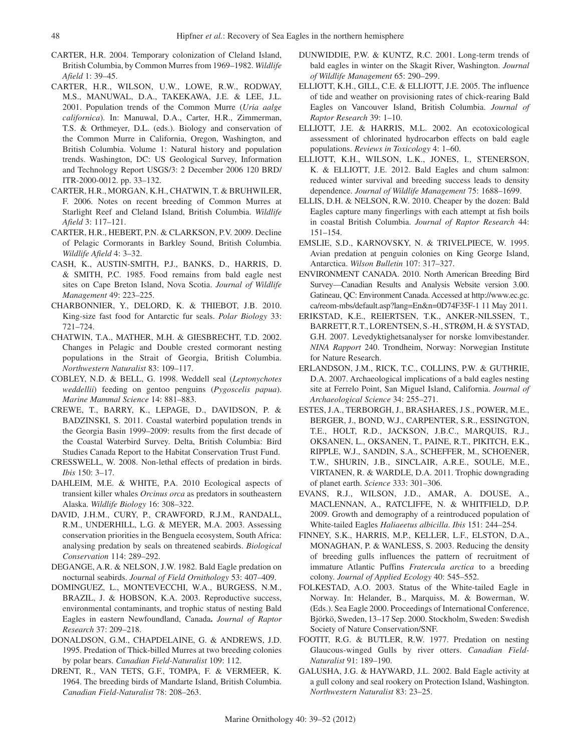- CARTER, H.R. 2004. Temporary colonization of Cleland Island, British Columbia, by Common Murres from 1969–1982. *Wildlife Afield* 1: 39–45.
- CARTER, H.R., WILSON, U.W., LOWE, R.W., RODWAY, M.S., MANUWAL, D.A., TAKEKAWA, J.E. & LEE, J.L. 2001. Population trends of the Common Murre (*Uria aalge californica*). In: Manuwal, D.A., Carter, H.R., Zimmerman, T.S. & Orthmeyer, D.L. (eds.). Biology and conservation of the Common Murre in California, Oregon, Washington, and British Columbia. Volume 1: Natural history and population trends. Washington, DC: US Geological Survey, Information and Technology Report USGS/3: 2 December 2006 120 BRD/ ITR-2000-0012. pp. 33–132.
- CARTER, H.R., MORGAN, K.H., CHATWIN, T. & BRUHWILER, F. 2006. Notes on recent breeding of Common Murres at Starlight Reef and Cleland Island, British Columbia. *Wildlife Afield* 3: 117–121.
- CARTER, H.R., HEBERT, P.N. & CLARKSON, P.V. 2009. Decline of Pelagic Cormorants in Barkley Sound, British Columbia. *Wildlife Afield* 4: 3–32.
- CASH, K., AUSTIN-SMITH, P.J., BANKS, D., HARRIS, D. & SMITH, P.C. 1985. Food remains from bald eagle nest sites on Cape Breton Island, Nova Scotia. *Journal of Wildlife Management* 49: 223–225.
- CHARBONNIER, Y., DELORD, K. & THIEBOT, J.B. 2010. King-size fast food for Antarctic fur seals. *Polar Biology* 33: 721–724.
- CHATWIN, T.A., MATHER, M.H. & GIESBRECHT, T.D. 2002. Changes in Pelagic and Double crested cormorant nesting populations in the Strait of Georgia, British Columbia. *Northwestern Naturalist* 83: 109–117.
- COBLEY, N.D. & BELL, G. 1998. Weddell seal (*Leptonychotes weddellii*) feeding on gentoo penguins (*Pygoscelis papua*). *Marine Mammal Science* 14: 881–883.
- CREWE, T., BARRY, K., LEPAGE, D., DAVIDSON, P. & BADZINSKI, S. 2011. Coastal waterbird population trends in the Georgia Basin 1999–2009: results from the first decade of the Coastal Waterbird Survey. Delta, British Columbia: Bird Studies Canada Report to the Habitat Conservation Trust Fund.
- CRESSWELL, W. 2008. Non-lethal effects of predation in birds. *Ibis* 150: 3–17.
- DAHLEIM, M.E. & WHITE, P.A. 2010 Ecological aspects of transient killer whales *Orcinus orca* as predators in southeastern Alaska. *Wildlife Biology* 16: 308–322.
- DAVID, J.H.M., CURY, P., CRAWFORD, R.J.M., RANDALL, R.M., UNDERHILL, L.G. & MEYER, M.A. 2003. Assessing conservation priorities in the Benguela ecosystem, South Africa: analysing predation by seals on threatened seabirds. *Biological Conservation* 114: 289–292.
- DEGANGE, A.R. & NELSON, J.W. 1982. Bald Eagle predation on nocturnal seabirds. *Journal of Field Ornithology* 53: 407–409.
- DOMINGUEZ, L., MONTEVECCHI, W.A., BURGESS, N.M., BRAZIL, J. & HOBSON, K.A. 2003. Reproductive success, environmental contaminants, and trophic status of nesting Bald Eagles in eastern Newfoundland, Canada**.** *Journal of Raptor Research* 37: 209–218.
- DONALDSON, G.M., CHAPDELAINE, G. & ANDREWS, J.D. 1995. Predation of Thick-billed Murres at two breeding colonies by polar bears. *Canadian Field-Naturalist* 109: 112.
- DRENT, R., VAN TETS, G.F., TOMPA, F. & VERMEER, K. 1964. The breeding birds of Mandarte Island, British Columbia. *Canadian Field-Naturalist* 78: 208–263.
- DUNWIDDIE, P.W. & KUNTZ, R.C. 2001. Long-term trends of bald eagles in winter on the Skagit River, Washington. *Journal of Wildlife Management* 65: 290–299.
- ELLIOTT, K.H., GILL, C.E. & ELLIOTT, J.E. 2005. The influence of tide and weather on provisioning rates of chick-rearing Bald Eagles on Vancouver Island, British Columbia. *Journal of Raptor Research* 39: 1–10.
- ELLIOTT, J.E. & HARRIS, M.L. 2002. An ecotoxicological assessment of chlorinated hydrocarbon effects on bald eagle populations. *Reviews in Toxicology* 4: 1–60.
- ELLIOTT, K.H., WILSON, L.K., JONES, I., STENERSON, K. & ELLIOTT, J.E. 2012. Bald Eagles and chum salmon: reduced winter survival and breeding success leads to density dependence. *Journal of Wildlife Management* 75: 1688–1699.
- ELLIS, D.H. & NELSON, R.W. 2010. Cheaper by the dozen: Bald Eagles capture many fingerlings with each attempt at fish boils in coastal British Columbia. *Journal of Raptor Research* 44: 151–154.
- EMSLIE, S.D., KARNOVSKY, N. & TRIVELPIECE, W. 1995. Avian predation at penguin colonies on King George Island, Antarctica. *Wilson Bulletin* 107: 317–327.
- ENVIRONMENT CANADA. 2010. North American Breeding Bird Survey—Canadian Results and Analysis Website version 3.00. Gatineau, QC: Environment Canada. Accessed at http://www.ec.gc. ca/reom-mbs/default.asp?lang=En&n=0D74F35F-1 11 May 2011.
- Erikstad, K.E., Reiertsen, T.K., Anker-Nilssen, T., Barrett, R.T., Lorentsen, S.-H., Strøm, H. & Systad, G.H. 2007. Levedyktighetsanalyser for norske lomvibestander. *NINA Rapport* 240. Trondheim, Norway: Norwegian Institute for Nature Research.
- ERLANDSON, J.M., RICK, T.C., COLLINS, P.W. & GUTHRIE, D.A. 2007. Archaeological implications of a bald eagles nesting site at Ferrelo Point, San Miguel Island, California. *Journal of Archaeological Science* 34: 255–271.
- ESTES, J.A., TERBORGH, J., BRASHARES, J.S., POWER, M.E., BERGER, J., BOND, W.J., CARPENTER, S.R., ESSINGTON, T.E., HOLT, R.D., JACKSON, J.B.C., MARQUIS, R.J., OKSANEN, L., OKSANEN, T., PAINE, R.T., PIKITCH, E.K., RIPPLE, W.J., SANDIN, S.A., SCHEFFER, M., SCHOENER, T.W., SHURIN, J.B., SINCLAIR, A.R.E., SOULE, M.E., VIRTANEN, R. & WARDLE, D.A. 2011. Trophic downgrading of planet earth. *Science* 333: 301–306.
- EVANS, R.J., WILSON, J.D., AMAR, A. DOUSE, A., MACLENNAN, A., RATCLIFFE, N. & WHITFIELD, D.P. 2009. Growth and demography of a reintroduced population of White-tailed Eagles *Haliaeetus albicilla*. *Ibis* 151: 244–254.
- FINNEY, S.K., HARRIS, M.P., KELLER, L.F., ELSTON, D.A., MONAGHAN, P. & WANLESS, S. 2003. Reducing the density of breeding gulls influences the pattern of recruitment of immature Atlantic Puffins *Fratercula arctica* to a breeding colony. *Journal of Applied Ecology* 40: 545–552.
- FOLKESTAD, A.O. 2003. Status of the White-tailed Eagle in Norway. In: Helander, B., Marquiss, M. & Bowerman, W. (Eds.). Sea Eagle 2000. Proceedings of International Conference, Björkö, Sweden, 13–17 Sep. 2000. Stockholm, Sweden: Swedish Society of Nature Conservation/SNF.
- FOOTIT, R.G. & BUTLER, R.W. 1977. Predation on nesting Glaucous-winged Gulls by river otters. *Canadian Field-Naturalist* 91: 189–190.
- GALUSHA, J.G. & HAYWARD, J.L. 2002. Bald Eagle activity at a gull colony and seal rookery on Protection Island, Washington. *Northwestern Naturalist* 83: 23–25.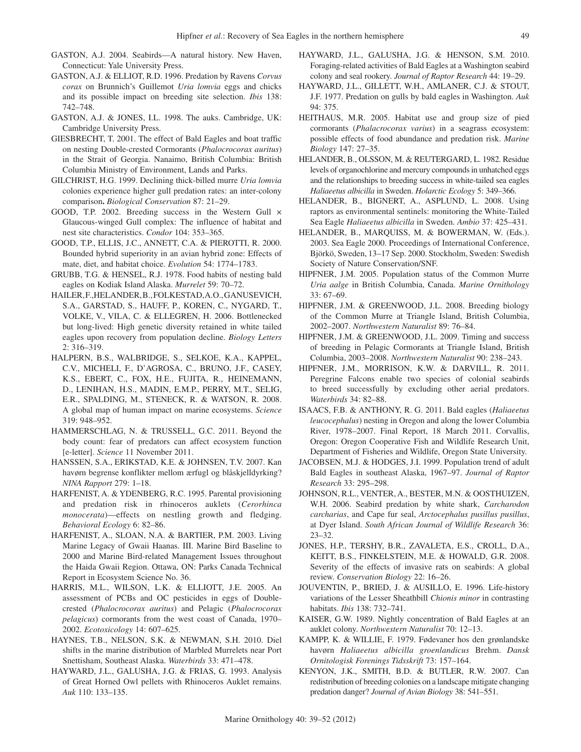- GASTON, A.J. 2004. Seabirds—A natural history. New Haven, Connecticut: Yale University Press.
- GASTON, A.J. & ELLIOT, R.D. 1996. Predation by Ravens *Corvus corax* on Brunnich's Guillemot *Uria lomvia* eggs and chicks and its possible impact on breeding site selection. *Ibis* 138: 742–748.
- GASTON, A.J. & JONES, I.L. 1998. The auks. Cambridge, UK: Cambridge University Press.
- GIESBRECHT, T. 2001. The effect of Bald Eagles and boat traffic on nesting Double-crested Cormorants (*Phalocrocorax auritus*) in the Strait of Georgia. Nanaimo, British Columbia: British Columbia Ministry of Environment, Lands and Parks.
- GILCHRIST, H.G. 1999. Declining thick-billed murre *Uria lomvia*  colonies experience higher gull predation rates: an inter-colony comparison**.** *Biological Conservation* 87: 21–29.
- GOOD, T.P. 2002. Breeding success in the Western Gull × Glaucous-winged Gull complex: The influence of habitat and nest site characteristics. *Condor* 104: 353–365.
- GOOD, T.P., ELLIS, J.C., ANNETT, C.A. & PIEROTTI, R. 2000. Bounded hybrid superiority in an avian hybrid zone: Effects of mate, diet, and habitat choice. *Evolution* 54: 1774–1783.
- GRUBB, T.G. & HENSEL, R.J. 1978. Food habits of nesting bald eagles on Kodiak Island Alaska. *Murrelet* 59: 70–72.
- HAILER, F.,HELANDER, B., FOLKESTAD, A.O., GANUSEVICH, S.A., GARSTAD, S., HAUFF, P., KOREN, C., NYGARD, T., VOLKE, V., VILA, C. & ELLEGREN, H. 2006. Bottlenecked but long-lived: High genetic diversity retained in white tailed eagles upon recovery from population decline. *Biology Letters* 2: 316–319.
- HALPERN, B.S., WALBRIDGE, S., SELKOE, K.A., KAPPEL, C.V., MICHELI, F., D'AGROSA, C., BRUNO, J.F., CASEY, K.S., EBERT, C., FOX, H.E., FUJITA, R., HEINEMANN, D., LENIHAN, H.S., MADIN, E.M.P., PERRY, M.T., SELIG, E.R., SPALDING, M., STENECK, R. & WATSON, R. 2008. A global map of human impact on marine ecosystems. *Science* 319: 948–952.
- HAMMERSCHLAG, N. & TRUSSELL, G.C. 2011. Beyond the body count: fear of predators can affect ecosystem function [e-letter]. *Science* 11 November 2011.
- HANSSEN, S.A., ERIKSTAD, K.E. & JOHNSEN, T.V. 2007. Kan havørn begrense konflikter mellom ærfugl og blåskjelldyrking? *NINA Rapport* 279: 1–18.
- HARFENIST, A. & YDENBERG, R.C. 1995. Parental provisioning and predation risk in rhinoceros auklets (*Cerorhinca monocerata*)—effects on nestling growth and fledging. *Behavioral Ecology* 6: 82–86.
- HARFENIST, A., SLOAN, N.A. & BARTIER, P.M. 2003. Living Marine Legacy of Gwaii Haanas. III. Marine Bird Baseline to 2000 and Marine Bird-related Management Issues throughout the Haida Gwaii Region. Ottawa, ON: Parks Canada Technical Report in Ecosystem Science No. 36.
- HARRIS, M.L., WILSON, L.K. & ELLIOTT, J.E. 2005. An assessment of PCBs and OC pesticides in eggs of Doublecrested (*Phalocrocorax auritus*) and Pelagic (*Phalocrocorax pelagicus*) cormorants from the west coast of Canada, 1970– 2002. *Ecotoxicology* 14: 607–625.
- HAYNES, T.B., NELSON, S.K. & NEWMAN, S.H. 2010. Diel shifts in the marine distribution of Marbled Murrelets near Port Snettisham, Southeast Alaska. *Waterbirds* 33: 471–478.
- HAYWARD, J.L., GALUSHA, J.G. & FRIAS, G. 1993. Analysis of Great Horned Owl pellets with Rhinoceros Auklet remains. *Auk* 110: 133–135.
- HAYWARD, J.L., GALUSHA, J.G. & HENSON, S.M. 2010. Foraging-related activities of Bald Eagles at a Washington seabird colony and seal rookery. *Journal of Raptor Research* 44: 19–29.
- HAYWARD, J.L., GILLETT, W.H., AMLANER, C.J. & STOUT, J.F. 1977. Predation on gulls by bald eagles in Washington. *Auk* 94: 375.
- HEITHAUS, M.R. 2005. Habitat use and group size of pied cormorants (*Phalacrocorax varius*) in a seagrass ecosystem: possible effects of food abundance and predation risk. *Marine Biology* 147: 27–35.
- HELANDER, B., OLSSON, M. & REUTERGARD, L. 1982. Residue levels of organochlorine and mercury compounds in unhatched eggs and the relationships to breeding success in white-tailed sea eagles *Haliaeetus albicilla* in Sweden. *Holarctic Ecology* 5: 349–366.
- HELANDER, B., BIGNERT, A., ASPLUND, L. 2008. Using raptors as environmental sentinels: monitoring the White-Tailed Sea Eagle *Haliaeetus albicilla* in Sweden. *Ambio* 37: 425–431.
- Helander, B., Marquiss, M. & Bowerman, W. (Eds.). 2003. Sea Eagle 2000. Proceedings of International Conference, Björkö, Sweden, 13–17 Sep. 2000. Stockholm, Sweden: Swedish Society of Nature Conservation/SNF.
- HIPFNER, J.M. 2005. Population status of the Common Murre *Uria aalge* in British Columbia, Canada. *Marine Ornithology* 33: 67–69.
- HIPFNER, J.M. & GREENWOOD, J.L. 2008. Breeding biology of the Common Murre at Triangle Island, British Columbia, 2002–2007. *Northwestern Naturalist* 89: 76–84.
- HIPFNER, J.M. & GREENWOOD, J.L. 2009. Timing and success of breeding in Pelagic Cormorants at Triangle Island, British Columbia, 2003–2008. *Northwestern Naturalist* 90: 238–243.
- HIPFNER, J.M., MORRISON, K.W. & DARVILL, R. 2011. Peregrine Falcons enable two species of colonial seabirds to breed successfully by excluding other aerial predators. *Waterbirds* 34: 82–88.
- ISAACS, F.B. & ANTHONY, R. G. 2011. Bald eagles (*Haliaeetus leucocephalus*) nesting in Oregon and along the lower Columbia River, 1978–2007. Final Report, 18 March 2011. Corvallis, Oregon: Oregon Cooperative Fish and Wildlife Research Unit, Department of Fisheries and Wildlife, Oregon State University.
- JACOBSEN, M.J. & HODGES, J.I. 1999. Population trend of adult Bald Eagles in southeast Alaska, 1967–97. *Journal of Raptor Research* 33: 295–298.
- JOHNSON, R.L., VENTER, A., BESTER, M.N. & OOSTHUIZEN, W.H. 2006. Seabird predation by white shark, *Carcharodon carcharias*, and Cape fur seal, *Arctocephalus pusillus pusillus*, at Dyer Island. *South African Journal of Wildlife Research* 36: 23–32.
- JONES, H.P., TERSHY, B.R., ZAVALETA, E.S., CROLL, D.A., KEITT, B.S., FINKELSTEIN, M.E. & HOWALD, G.R. 2008. Severity of the effects of invasive rats on seabirds: A global review. *Conservation Biology* 22: 16–26.
- JOUVENTIN, P., BRIED, J. & AUSILLO, E. 1996. Life-history variations of the Lesser Sheathbill *Chionis minor* in contrasting habitats. *Ibis* 138: 732–741.
- KAISER, G.W. 1989. Nightly concentration of Bald Eagles at an auklet colony. *Northwestern Naturalist* 70: 12–13.
- Kampp, K. & Willie, F. 1979. Fødevaner hos den grønlandske havørn *Haliaeetus albicilla groenlandicus* Brehm. *Dansk Ornitologisk Forenings Tidsskrift* 73: 157–164.
- KENYON, J.K., SMITH, B.D. & BUTLER, R.W. 2007. Can redistribution of breeding colonies on a landscape mitigate changing predation danger? *Journal of Avian Biology* 38: 541–551.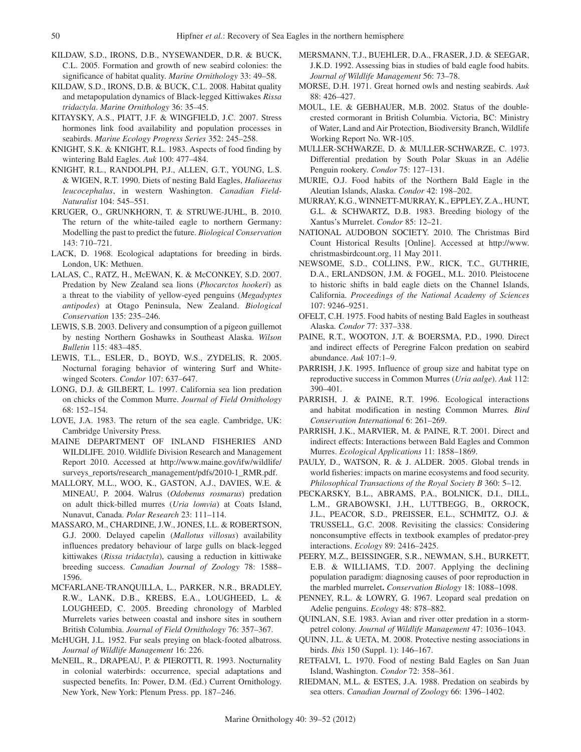- KILDAW, S.D., IRONS, D.B., NYSEWANDER, D.R. & BUCK, C.L. 2005. Formation and growth of new seabird colonies: the significance of habitat quality. *Marine Ornithology* 33: 49–58.
- KILDAW, S.D., IRONS, D.B. & BUCK, C.L. 2008. Habitat quality and metapopulation dynamics of Black-legged Kittiwakes *Rissa tridactyla*. *Marine Ornithology* 36: 35–45.
- KITAYSKY, A.S., PIATT, J.F. & WINGFIELD, J.C. 2007. Stress hormones link food availability and population processes in seabirds. *Marine Ecology Progress Series* 352: 245–258.
- KNIGHT, S.K. & KNIGHT, R.L. 1983. Aspects of food finding by wintering Bald Eagles. *Auk* 100: 477–484.
- KNIGHT, R.L., RANDOLPH, P.J., ALLEN, G.T., YOUNG, L.S. & WIGEN, R.T. 1990. Diets of nesting Bald Eagles, *Haliaeetus leucocephalus*, in western Washington. *Canadian Field-Naturalist* 104: 545–551.
- KRUGER, O., GRUNKHORN, T. & STRUWE-JUHL, B. 2010. The return of the white-tailed eagle to northern Germany: Modelling the past to predict the future. *Biological Conservation* 143: 710–721.
- LACK, D. 1968. Ecological adaptations for breeding in birds. London, UK: Methuen.
- LALAS, C., RATZ, H., McEWAN, K. & McCONKEY, S.D. 2007. Predation by New Zealand sea lions (*Phocarctos hookeri*) as a threat to the viability of yellow-eyed penguins (*Megadyptes antipodes*) at Otago Peninsula, New Zealand. *Biological Conservation* 135: 235–246.
- LEWIS, S.B. 2003. Delivery and consumption of a pigeon guillemot by nesting Northern Goshawks in Southeast Alaska. *Wilson Bulletin* 115: 483–485.
- LEWIS, T.L., ESLER, D., BOYD, W.S., ZYDELIS, R. 2005. Nocturnal foraging behavior of wintering Surf and Whitewinged Scoters. *Condor* 107: 637–647.
- LONG, D.J. & GILBERT, L. 1997. California sea lion predation on chicks of the Common Murre. *Journal of Field Ornithology* 68: 152–154.
- LOVE, J.A. 1983. The return of the sea eagle. Cambridge, UK: Cambridge University Press.
- MAINE DEPARTMENT OF INLAND FISHERIES AND WILDLIFE. 2010. Wildlife Division Research and Management Report 2010. Accessed at http://www.maine.gov/ifw/wildlife/ surveys\_reports/research\_management/pdfs/2010-1\_RMR.pdf.
- MALLORY, M.L., WOO, K., GASTON, A.J., DAVIES, W.E. & MINEAU, P. 2004. Walrus (*Odobenus rosmarus*) predation on adult thick-billed murres (*Uria lomvia*) at Coats Island, Nunavut, Canada. *Polar Research* 23: 111–114.
- MASSARO, M., CHARDINE, J.W., JONES, I.L. & ROBERTSON, G.J. 2000. Delayed capelin (*Mallotus villosus*) availability influences predatory behaviour of large gulls on black-legged kittiwakes (*Rissa tridactyla*), causing a reduction in kittiwake breeding success. *Canadian Journal of Zoology* 78: 1588– 1596.
- MCFARLANE-TRANQUILLA, L., PARKER, N.R., BRADLEY, R.W., LANK, D.B., KREBS, E.A., LOUGHEED, L. & LOUGHEED, C. 2005. Breeding chronology of Marbled Murrelets varies between coastal and inshore sites in southern British Columbia. *Journal of Field Ornithology* 76: 357–367.
- McHUGH, J.L. 1952. Fur seals preying on black-footed albatross. *Journal of Wildlife Management* 16: 226.
- McNEIL, R., DRAPEAU, P. & PIEROTTI, R. 1993. Nocturnality in colonial waterbirds: occurrence, special adaptations and suspected benefits. In: Power, D.M. (Ed.) Current Ornithology. New York, New York: Plenum Press. pp. 187–246.
- MERSMANN, T.J., BUEHLER, D.A., FRASER, J.D. & SEEGAR, J.K.D. 1992. Assessing bias in studies of bald eagle food habits. *Journal of Wildlife Management* 56: 73–78.
- MORSE, D.H. 1971. Great horned owls and nesting seabirds. *Auk* 88: 426–427.
- MOUL, I.E. & GEBHAUER, M.B. 2002. Status of the doublecrested cormorant in British Columbia. Victoria, BC: Ministry of Water, Land and Air Protection, Biodiversity Branch, Wildlife Working Report No. WR-105.
- MULLER-SCHWARZE, D. & MULLER-SCHWARZE, C. 1973. Differential predation by South Polar Skuas in an Adélie Penguin rookery. *Condor* 75: 127–131.
- MURIE, O.J. Food habits of the Northern Bald Eagle in the Aleutian Islands, Alaska. *Condor* 42: 198–202.
- MURRAY, K.G., WINNETT-MURRAY, K., EPPLEY, Z.A., HUNT, G.L. & SCHWARTZ, D.B. 1983. Breeding biology of the Xantus's Murrelet. *Condor* 85: 12–21.
- NATIONAL AUDOBON SOCIETY. 2010. The Christmas Bird Count Historical Results [Online]. Accessed at http://www. christmasbirdcount.org, 11 May 2011.
- NEWSOME, S.D., COLLINS, P.W., RICK, T.C., GUTHRIE, D.A., ERLANDSON, J.M. & FOGEL, M.L. 2010. Pleistocene to historic shifts in bald eagle diets on the Channel Islands, California. *Proceedings of the National Academy of Sciences*  107: 9246–9251.
- OFELT, C.H. 1975. Food habits of nesting Bald Eagles in southeast Alaska. *Condor* 77: 337–338.
- PAINE, R.T., WOOTON, J.T. & BOERSMA, P.D., 1990. Direct and indirect effects of Peregrine Falcon predation on seabird abundance. *Auk* 107:1–9.
- PARRISH, J.K. 1995. Influence of group size and habitat type on reproductive success in Common Murres (*Uria aalge*). *Auk* 112: 390–401.
- PARRISH, J. & PAINE, R.T. 1996. Ecological interactions and habitat modification in nesting Common Murres*. Bird Conservation International* 6: 261–269.
- PARRISH, J.K., MARVIER, M. & PAINE, R.T. 2001. Direct and indirect effects: Interactions between Bald Eagles and Common Murres. *Ecological Applications* 11: 1858–1869.
- PAULY, D., WATSON, R. & J. ALDER. 2005. Global trends in world fisheries: impacts on marine ecosystems and food security. *Philosophical Transactions of the Royal Society B* 360: 5–12.
- PECKARSKY, B.L., ABRAMS, P.A., BOLNICK, D.I., DILL, L.M., GRABOWSKI, J.H., LUTTBEGG, B., ORROCK, J.L., PEACOR, S.D., PREISSER, E.L., SCHMITZ, O.J. & TRUSSELL, G.C. 2008. Revisiting the classics: Considering nonconsumptive effects in textbook examples of predator-prey interactions. *Ecology* 89: 2416–2425.
- PEERY, M.Z., BEISSINGER, S.R., NEWMAN, S.H., BURKETT, E.B. & WILLIAMS, T.D. 2007. Applying the declining population paradigm: diagnosing causes of poor reproduction in the marbled murrelet**.** *Conservation Biology* 18: 1088–1098.
- PENNEY, R.L. & LOWRY, G. 1967. Leopard seal predation on Adelie penguins. *Ecology* 48: 878–882.
- QUINLAN, S.E. 1983. Avian and river otter predation in a stormpetrel colony. *Journal of Wildlife Management* 47: 1036–1043.
- QUINN, J.L. & UETA, M. 2008. Protective nesting associations in birds. *Ibis* 150 (Suppl. 1): 146–167.
- RETFALVI, L. 1970. Food of nesting Bald Eagles on San Juan Island, Washington. *Condor* 72: 358–361.
- RIEDMAN, M.L. & ESTES, J.A. 1988. Predation on seabirds by sea otters. *Canadian Journal of Zoology* 66: 1396–1402.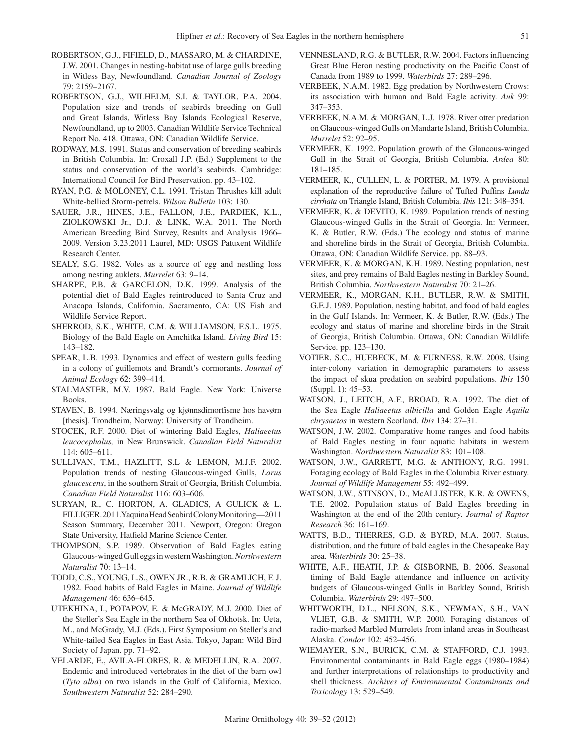- ROBERTSON, G.J., FIFIELD, D., MASSARO, M. & CHARDINE, J.W. 2001. Changes in nesting-habitat use of large gulls breeding in Witless Bay, Newfoundland. *Canadian Journal of Zoology*  79: 2159–2167.
- ROBERTSON, G.J., WILHELM, S.I. & TAYLOR, P.A. 2004. Population size and trends of seabirds breeding on Gull and Great Islands, Witless Bay Islands Ecological Reserve, Newfoundland, up to 2003. Canadian Wildlife Service Technical Report No. 418. Ottawa, ON: Canadian Wildlife Service.
- RODWAY, M.S. 1991. Status and conservation of breeding seabirds in British Columbia. In: Croxall J.P. (Ed.) Supplement to the status and conservation of the world's seabirds. Cambridge: International Council for Bird Preservation. pp. 43–102.
- RYAN, P.G. & MOLONEY, C.L. 1991. Tristan Thrushes kill adult White-bellied Storm-petrels. *Wilson Bulletin* 103: 130.
- SAUER, J.R., HINES, J.E., FALLON, J.E., PARDIEK, K.L., ZIOLKOWSKI Jr., D.J. & LINK, W.A. 2011. The North American Breeding Bird Survey, Results and Analysis 1966– 2009. Version 3.23.2011 Laurel, MD: USGS Patuxent Wildlife Research Center.
- SEALY, S.G. 1982. Voles as a source of egg and nestling loss among nesting auklets. *Murrelet* 63: 9–14.
- SHARPE, P.B. & GARCELON, D.K. 1999. Analysis of the potential diet of Bald Eagles reintroduced to Santa Cruz and Anacapa Islands, California. Sacramento, CA: US Fish and Wildlife Service Report.
- SHERROD, S.K., WHITE, C.M. & WILLIAMSON, F.S.L. 1975. Biology of the Bald Eagle on Amchitka Island. *Living Bird* 15: 143–182.
- SPEAR, L.B. 1993. Dynamics and effect of western gulls feeding in a colony of guillemots and Brandt's cormorants. *Journal of Animal Ecology* 62: 399–414.
- STALMASTER, M.V. 1987. Bald Eagle. New York: Universe Books.
- STAVEN, B. 1994. Næringsvalg og kjønnsdimorfisme hos havørn [thesis]. Trondheim, Norway: University of Trondheim.
- STOCEK, R.F. 2000. Diet of wintering Bald Eagles, *Haliaeetus leucocephalus,* in New Brunswick. *Canadian Field Naturalist* 114: 605–611.
- SULLIVAN, T.M., HAZLITT, S.L & LEMON, M.J.F. 2002. Population trends of nesting Glaucous-winged Gulls, *Larus glaucescens*, in the southern Strait of Georgia, British Columbia. *Canadian Field Naturalist* 116: 603–606.
- SURYAN, R., C. HORTON, A. GLADICS, A GULICK & L. FILLIGER. 2011. Yaquina Head Seabird Colony Monitoring—2011 Season Summary, December 2011. Newport, Oregon: Oregon State University, Hatfield Marine Science Center.
- THOMPSON, S.P. 1989. Observation of Bald Eagles eating Glaucous-winged Gull eggs in western Washington. *Northwestern Naturalist* 70: 13–14.
- TODD, C.S., YOUNG, L.S., OWEN JR., R.B. & GRAMLICH, F. J. 1982. Food habits of Bald Eagles in Maine. *Journal of Wildlife Management* 46: 636–645.
- UTEKHINA, I., POTAPOV, E. & McGRADY, M.J. 2000. Diet of the Steller's Sea Eagle in the northern Sea of Okhotsk. In: Ueta, M., and McGrady, M.J. (Eds.). First Symposium on Steller's and White-tailed Sea Eagles in East Asia. Tokyo, Japan: Wild Bird Society of Japan. pp. 71–92.
- VELARDE, E., AVILA-FLORES, R. & MEDELLIN, R.A. 2007. Endemic and introduced vertebrates in the diet of the barn owl (*Tyto alba*) on two islands in the Gulf of California, Mexico. *Southwestern Naturalist* 52: 284–290.
- VENNESLAND, R.G. & BUTLER, R.W. 2004. Factors influencing Great Blue Heron nesting productivity on the Pacific Coast of Canada from 1989 to 1999. *Waterbirds* 27: 289–296.
- VERBEEK, N.A.M. 1982. Egg predation by Northwestern Crows: its association with human and Bald Eagle activity. *Auk* 99: 347–353.
- VERBEEK, N.A.M. & MORGAN, L.J. 1978. River otter predation on Glaucous-winged Gulls on Mandarte Island, British Columbia. *Murrelet* 52: 92–95.
- VERMEER, K. 1992. Population growth of the Glaucous-winged Gull in the Strait of Georgia, British Columbia. *Ardea* 80: 181–185.
- VERMEER, K., CULLEN, L. & PORTER, M. 1979. A provisional explanation of the reproductive failure of Tufted Puffins *Lunda cirrhata* on Triangle Island, British Columbia. *Ibis* 121: 348–354.
- VERMEER, K. & DEVITO, K. 1989. Population trends of nesting Glaucous-winged Gulls in the Strait of Georgia. In: Vermeer, K. & Butler, R.W. (Eds.) The ecology and status of marine and shoreline birds in the Strait of Georgia, British Columbia. Ottawa, ON: Canadian Wildlife Service. pp. 88–93.
- VERMEER, K. & MORGAN, K.H. 1989. Nesting population, nest sites, and prey remains of Bald Eagles nesting in Barkley Sound, British Columbia. *Northwestern Naturalist* 70: 21–26.
- VERMEER, K., MORGAN, K.H., BUTLER, R.W. & SMITH, G.E.J. 1989. Population, nesting habitat, and food of bald eagles in the Gulf Islands. In: Vermeer, K. & Butler, R.W. (Eds.) The ecology and status of marine and shoreline birds in the Strait of Georgia, British Columbia. Ottawa, ON: Canadian Wildlife Service. pp. 123–130.
- VOTIER, S.C., HUEBECK, M. & FURNESS, R.W. 2008. Using inter-colony variation in demographic parameters to assess the impact of skua predation on seabird populations. *Ibis* 150 (Suppl. 1): 45–53.
- WATSON, J., LEITCH, A.F., BROAD, R.A. 1992. The diet of the Sea Eagle *Haliaeetus albicilla* and Golden Eagle *Aquila chrysaetos* in western Scotland. *Ibis* 134: 27–31.
- WATSON, J.W. 2002. Comparative home ranges and food habits of Bald Eagles nesting in four aquatic habitats in western Washington. *Northwestern Naturalist* 83: 101–108.
- WATSON, J.W., GARRETT, M.G. & ANTHONY, R.G. 1991. Foraging ecology of Bald Eagles in the Columbia River estuary. *Journal of Wildlife Management* 55: 492–499.
- WATSON, J.W., STINSON, D., McALLISTER, K.R. & OWENS, T.E. 2002. Population status of Bald Eagles breeding in Washington at the end of the 20th century. *Journal of Raptor Research* 36: 161–169.
- WATTS, B.D., THERRES, G.D. & BYRD, M.A. 2007. Status, distribution, and the future of bald eagles in the Chesapeake Bay area. *Waterbirds* 30: 25–38.
- WHITE, A.F., HEATH, J.P. & GISBORNE, B. 2006. Seasonal timing of Bald Eagle attendance and influence on activity budgets of Glaucous-winged Gulls in Barkley Sound, British Columbia. *Waterbirds* 29: 497–500.
- WHITWORTH, D.L., NELSON, S.K., NEWMAN, S.H., VAN VLIET, G.B. & SMITH, W.P. 2000. Foraging distances of radio-marked Marbled Murrelets from inland areas in Southeast Alaska. *Condor* 102: 452–456.
- WIEMAYER, S.N., BURICK, C.M. & STAFFORD, C.J. 1993. Environmental contaminants in Bald Eagle eggs (1980–1984) and further interpretations of relationships to productivity and shell thickness. *Archives of Environmental Contaminants and Toxicology* 13: 529–549.